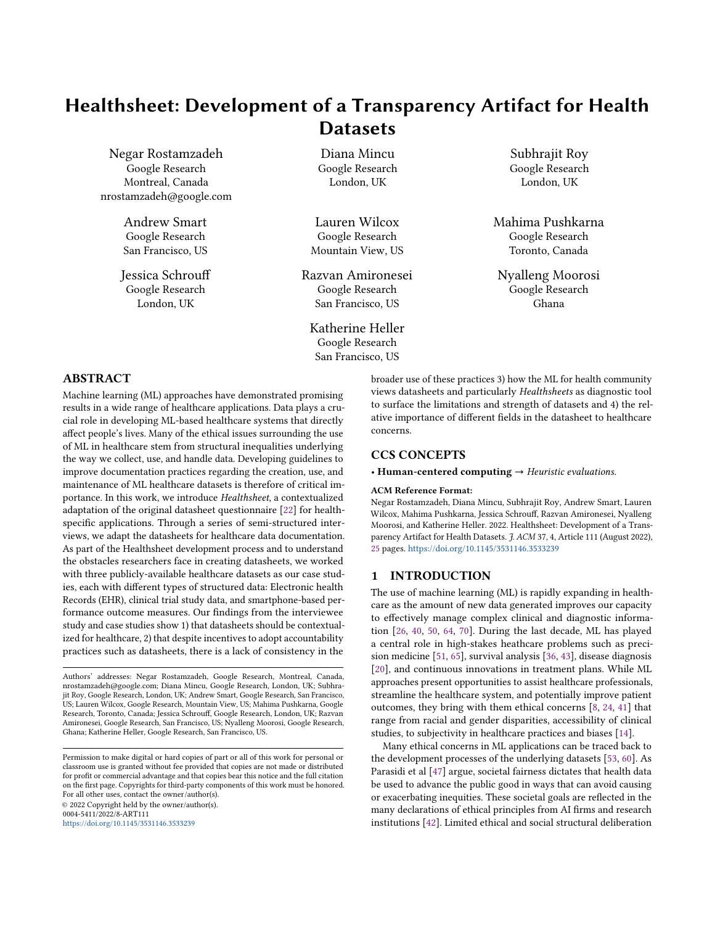# <span id="page-0-0"></span>Healthsheet: Development of a Transparency Artifact for Health **Datasets**

Negar Rostamzadeh Google Research Montreal, Canada nrostamzadeh@google.com

> Andrew Smart Google Research San Francisco, US

Jessica Schrouff Google Research London, UK

Diana Mincu Google Research London, UK

Lauren Wilcox Google Research Mountain View, US

Razvan Amironesei Google Research San Francisco, US

Katherine Heller Google Research San Francisco, US

Subhrajit Roy Google Research London, UK

Mahima Pushkarna Google Research Toronto, Canada

Nyalleng Moorosi Google Research Ghana

## ABSTRACT

Machine learning (ML) approaches have demonstrated promising results in a wide range of healthcare applications. Data plays a crucial role in developing ML-based healthcare systems that directly affect people's lives. Many of the ethical issues surrounding the use of ML in healthcare stem from structural inequalities underlying the way we collect, use, and handle data. Developing guidelines to improve documentation practices regarding the creation, use, and maintenance of ML healthcare datasets is therefore of critical importance. In this work, we introduce Healthsheet, a contextualized adaptation of the original datasheet questionnaire [\[22\]](#page-9-0) for healthspecific applications. Through a series of semi-structured interviews, we adapt the datasheets for healthcare data documentation. As part of the Healthsheet development process and to understand the obstacles researchers face in creating datasheets, we worked with three publicly-available healthcare datasets as our case studies, each with different types of structured data: Electronic health Records (EHR), clinical trial study data, and smartphone-based performance outcome measures. Our findings from the interviewee study and case studies show 1) that datasheets should be contextualized for healthcare, 2) that despite incentives to adopt accountability practices such as datasheets, there is a lack of consistency in the

Authors' addresses: Negar Rostamzadeh, Google Research, Montreal, Canada, nrostamzadeh@google.com; Diana Mincu, Google Research, London, UK; Subhrajit Roy, Google Research, London, UK; Andrew Smart, Google Research, San Francisco, US; Lauren Wilcox, Google Research, Mountain View, US; Mahima Pushkarna, Google Research, Toronto, Canada; Jessica Schrouff, Google Research, London, UK; Razvan Amironesei, Google Research, San Francisco, US; Nyalleng Moorosi, Google Research, Ghana; Katherine Heller, Google Research, San Francisco, US.

Permission to make digital or hard copies of part or all of this work for personal or classroom use is granted without fee provided that copies are not made or distributed for profit or commercial advantage and that copies bear this notice and the full citation on the first page. Copyrights for third-party components of this work must be honored. For all other uses, contact the owner/author(s). © 2022 Copyright held by the owner/author(s). 0004-5411/2022/8-ART111

<https://doi.org/10.1145/3531146.3533239>

broader use of these practices 3) how the ML for health community views datasheets and particularly Healthsheets as diagnostic tool to surface the limitations and strength of datasets and 4) the relative importance of different fields in the datasheet to healthcare concerns.

### CCS CONCEPTS

• Human-centered computing  $\rightarrow$  Heuristic evaluations.

#### ACM Reference Format:

Negar Rostamzadeh, Diana Mincu, Subhrajit Roy, Andrew Smart, Lauren Wilcox, Mahima Pushkarna, Jessica Schrouff, Razvan Amironesei, Nyalleng Moorosi, and Katherine Heller. 2022. Healthsheet: Development of a Transparency Artifact for Health Datasets. J. ACM 37, 4, Article 111 (August 2022), [25](#page-24-0) pages. <https://doi.org/10.1145/3531146.3533239>

#### 1 INTRODUCTION

The use of machine learning (ML) is rapidly expanding in healthcare as the amount of new data generated improves our capacity to effectively manage complex clinical and diagnostic information [\[26,](#page-9-1) [40,](#page-10-0) [50,](#page-10-1) [64,](#page-10-2) [70\]](#page-10-3). During the last decade, ML has played a central role in high-stakes heathcare problems such as precision medicine [\[51,](#page-10-4) [65\]](#page-10-5), survival analysis [\[36,](#page-9-2) [43\]](#page-10-6), disease diagnosis [\[20\]](#page-9-3), and continuous innovations in treatment plans. While ML approaches present opportunities to assist healthcare professionals, streamline the healthcare system, and potentially improve patient outcomes, they bring with them ethical concerns [\[8,](#page-9-4) [24,](#page-9-5) [41\]](#page-10-7) that range from racial and gender disparities, accessibility of clinical studies, to subjectivity in healthcare practices and biases [\[14\]](#page-9-6).

Many ethical concerns in ML applications can be traced back to the development processes of the underlying datasets [\[53,](#page-10-8) [60\]](#page-10-9). As Parasidi et al [\[47\]](#page-10-10) argue, societal fairness dictates that health data be used to advance the public good in ways that can avoid causing or exacerbating inequities. These societal goals are reflected in the many declarations of ethical principles from AI firms and research institutions [\[42\]](#page-10-11). Limited ethical and social structural deliberation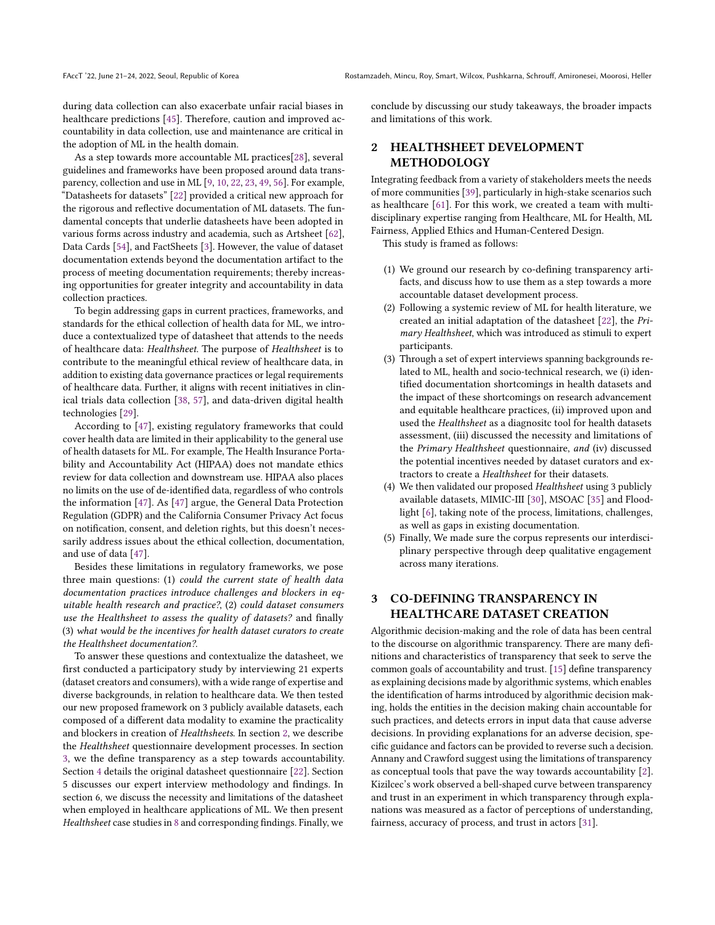during data collection can also exacerbate unfair racial biases in healthcare predictions [\[45\]](#page-10-12). Therefore, caution and improved accountability in data collection, use and maintenance are critical in the adoption of ML in the health domain.

As a step towards more accountable ML practices[\[28\]](#page-9-7), several guidelines and frameworks have been proposed around data transparency, collection and use in ML [\[9,](#page-9-8) [10,](#page-9-9) [22,](#page-9-0) [23,](#page-9-10) [49,](#page-10-13) [56\]](#page-10-14). For example, "Datasheets for datasets" [\[22\]](#page-9-0) provided a critical new approach for the rigorous and reflective documentation of ML datasets. The fundamental concepts that underlie datasheets have been adopted in various forms across industry and academia, such as Artsheet [\[62\]](#page-10-15), Data Cards [\[54\]](#page-10-16), and FactSheets [\[3\]](#page-9-11). However, the value of dataset documentation extends beyond the documentation artifact to the process of meeting documentation requirements; thereby increasing opportunities for greater integrity and accountability in data collection practices.

To begin addressing gaps in current practices, frameworks, and standards for the ethical collection of health data for ML, we introduce a contextualized type of datasheet that attends to the needs of healthcare data: Healthsheet. The purpose of Healthsheet is to contribute to the meaningful ethical review of healthcare data, in addition to existing data governance practices or legal requirements of healthcare data. Further, it aligns with recent initiatives in clinical trials data collection [\[38,](#page-9-12) [57\]](#page-10-17), and data-driven digital health technologies [\[29\]](#page-9-13).

According to [\[47\]](#page-10-10), existing regulatory frameworks that could cover health data are limited in their applicability to the general use of health datasets for ML. For example, The Health Insurance Portability and Accountability Act (HIPAA) does not mandate ethics review for data collection and downstream use. HIPAA also places no limits on the use of de-identified data, regardless of who controls the information [\[47\]](#page-10-10). As [\[47\]](#page-10-10) argue, the General Data Protection Regulation (GDPR) and the California Consumer Privacy Act focus on notification, consent, and deletion rights, but this doesn't necessarily address issues about the ethical collection, documentation, and use of data [\[47\]](#page-10-10).

Besides these limitations in regulatory frameworks, we pose three main questions: (1) could the current state of health data documentation practices introduce challenges and blockers in equitable health research and practice?, (2) could dataset consumers use the Healthsheet to assess the quality of datasets? and finally (3) what would be the incentives for health dataset curators to create the Healthsheet documentation?.

To answer these questions and contextualize the datasheet, we first conducted a participatory study by interviewing 21 experts (dataset creators and consumers), with a wide range of expertise and diverse backgrounds, in relation to healthcare data. We then tested our new proposed framework on 3 publicly available datasets, each composed of a different data modality to examine the practicality and blockers in creation of Healthsheets. In section [2,](#page-1-0) we describe the Healthsheet questionnaire development processes. In section [3,](#page-1-1) we the define transparency as a step towards accountability. Section [4](#page-2-0) details the original datasheet questionnaire [\[22\]](#page-9-0). Section 5 discusses our expert interview methodology and findings. In section 6, we discuss the necessity and limitations of the datasheet when employed in healthcare applications of ML. We then present Healthsheet case studies in [8](#page-8-0) and corresponding findings. Finally, we

conclude by discussing our study takeaways, the broader impacts and limitations of this work.

# <span id="page-1-0"></span>2 HEALTHSHEET DEVELOPMENT **METHODOLOGY**

Integrating feedback from a variety of stakeholders meets the needs of more communities [\[39\]](#page-10-18), particularly in high-stake scenarios such as healthcare [\[61\]](#page-10-19). For this work, we created a team with multidisciplinary expertise ranging from Healthcare, ML for Health, ML Fairness, Applied Ethics and Human-Centered Design.

This study is framed as follows:

- (1) We ground our research by co-defining transparency artifacts, and discuss how to use them as a step towards a more accountable dataset development process.
- (2) Following a systemic review of ML for health literature, we created an initial adaptation of the datasheet [\[22\]](#page-9-0), the Primary Healthsheet, which was introduced as stimuli to expert participants.
- (3) Through a set of expert interviews spanning backgrounds related to ML, health and socio-technical research, we (i) identified documentation shortcomings in health datasets and the impact of these shortcomings on research advancement and equitable healthcare practices, (ii) improved upon and used the Healthsheet as a diagnositc tool for health datasets assessment, (iii) discussed the necessity and limitations of the Primary Healthsheet questionnaire, and (iv) discussed the potential incentives needed by dataset curators and extractors to create a Healthsheet for their datasets.
- (4) We then validated our proposed Healthsheet using 3 publicly available datasets, MIMIC-III [\[30\]](#page-9-14), MSOAC [\[35\]](#page-9-15) and Floodlight [\[6\]](#page-9-16), taking note of the process, limitations, challenges, as well as gaps in existing documentation.
- (5) Finally, We made sure the corpus represents our interdisciplinary perspective through deep qualitative engagement across many iterations.

# <span id="page-1-1"></span>3 CO-DEFINING TRANSPARENCY IN HEALTHCARE DATASET CREATION

Algorithmic decision-making and the role of data has been central to the discourse on algorithmic transparency. There are many definitions and characteristics of transparency that seek to serve the common goals of accountability and trust. [\[15\]](#page-9-17) define transparency as explaining decisions made by algorithmic systems, which enables the identification of harms introduced by algorithmic decision making, holds the entities in the decision making chain accountable for such practices, and detects errors in input data that cause adverse decisions. In providing explanations for an adverse decision, specific guidance and factors can be provided to reverse such a decision. Annany and Crawford suggest using the limitations of transparency as conceptual tools that pave the way towards accountability [\[2\]](#page-9-18). Kizilcec's work observed a bell-shaped curve between transparency and trust in an experiment in which transparency through explanations was measured as a factor of perceptions of understanding, fairness, accuracy of process, and trust in actors [\[31\]](#page-9-19).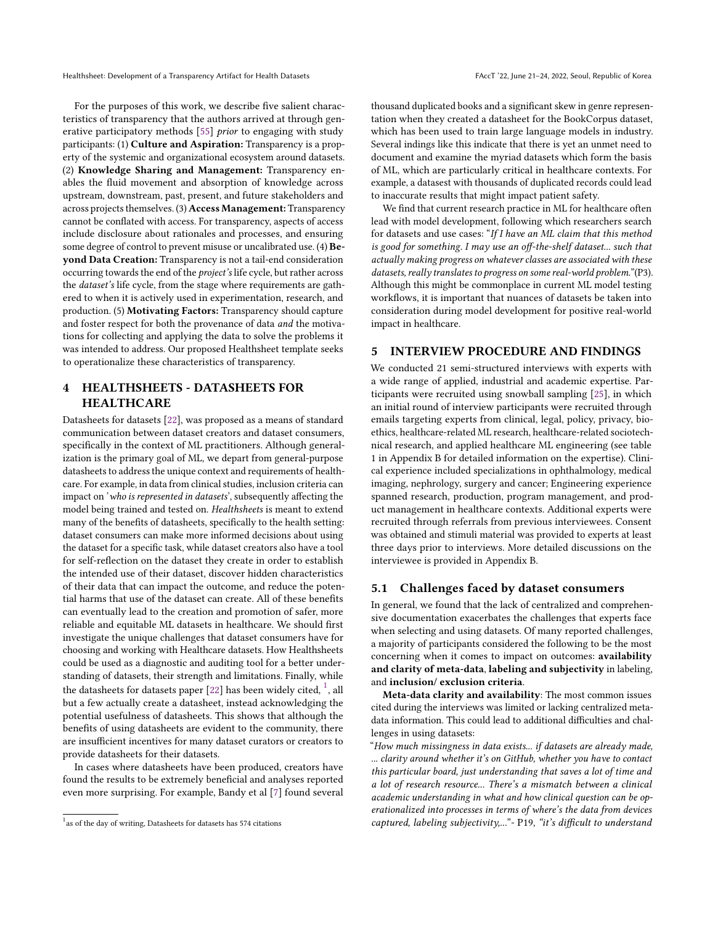For the purposes of this work, we describe five salient characteristics of transparency that the authors arrived at through gen-erative participatory methods [\[55\]](#page-10-20) prior to engaging with study participants: (1) Culture and Aspiration: Transparency is a property of the systemic and organizational ecosystem around datasets. (2) Knowledge Sharing and Management: Transparency enables the fluid movement and absorption of knowledge across upstream, downstream, past, present, and future stakeholders and across projects themselves. (3) Access Management: Transparency cannot be conflated with access. For transparency, aspects of access include disclosure about rationales and processes, and ensuring some degree of control to prevent misuse or uncalibrated use. (4) Beyond Data Creation: Transparency is not a tail-end consideration occurring towards the end of the project's life cycle, but rather across the dataset's life cycle, from the stage where requirements are gathered to when it is actively used in experimentation, research, and production. (5) Motivating Factors: Transparency should capture and foster respect for both the provenance of data and the motivations for collecting and applying the data to solve the problems it was intended to address. Our proposed Healthsheet template seeks to operationalize these characteristics of transparency.

### <span id="page-2-0"></span>4 HEALTHSHEETS - DATASHEETS FOR HEALTHCARE

Datasheets for datasets [\[22\]](#page-9-0), was proposed as a means of standard communication between dataset creators and dataset consumers, specifically in the context of ML practitioners. Although generalization is the primary goal of ML, we depart from general-purpose datasheets to address the unique context and requirements of healthcare. For example, in data from clinical studies, inclusion criteria can impact on 'who is represented in datasets', subsequently affecting the model being trained and tested on. Healthsheets is meant to extend many of the benefits of datasheets, specifically to the health setting: dataset consumers can make more informed decisions about using the dataset for a specific task, while dataset creators also have a tool for self-reflection on the dataset they create in order to establish the intended use of their dataset, discover hidden characteristics of their data that can impact the outcome, and reduce the potential harms that use of the dataset can create. All of these benefits can eventually lead to the creation and promotion of safer, more reliable and equitable ML datasets in healthcare. We should first investigate the unique challenges that dataset consumers have for choosing and working with Healthcare datasets. How Healthsheets could be used as a diagnostic and auditing tool for a better understanding of datasets, their strength and limitations. Finally, while the datasheets for datasets paper [\[22\]](#page-9-0) has been widely cited,  $^{\rm 1}$  $^{\rm 1}$  $^{\rm 1}$ , all but a few actually create a datasheet, instead acknowledging the potential usefulness of datasheets. This shows that although the benefits of using datasheets are evident to the community, there are insufficient incentives for many dataset curators or creators to provide datasheets for their datasets.

In cases where datasheets have been produced, creators have found the results to be extremely beneficial and analyses reported even more surprising. For example, Bandy et al [\[7\]](#page-9-20) found several thousand duplicated books and a significant skew in genre representation when they created a datasheet for the BookCorpus dataset, which has been used to train large language models in industry. Several indings like this indicate that there is yet an unmet need to document and examine the myriad datasets which form the basis of ML, which are particularly critical in healthcare contexts. For example, a datasest with thousands of duplicated records could lead to inaccurate results that might impact patient safety.

We find that current research practice in ML for healthcare often lead with model development, following which researchers search for datasets and use cases: "If I have an ML claim that this method is good for something. I may use an off-the-shelf dataset... such that actually making progress on whatever classes are associated with these datasets, really translates to progress on some real-world problem."(P3). Although this might be commonplace in current ML model testing workflows, it is important that nuances of datasets be taken into consideration during model development for positive real-world impact in healthcare.

#### 5 INTERVIEW PROCEDURE AND FINDINGS

We conducted 21 semi-structured interviews with experts with a wide range of applied, industrial and academic expertise. Participants were recruited using snowball sampling [\[25\]](#page-9-21), in which an initial round of interview participants were recruited through emails targeting experts from clinical, legal, policy, privacy, bioethics, healthcare-related ML research, healthcare-related sociotechnical research, and applied healthcare ML engineering (see table 1 in Appendix B for detailed information on the expertise). Clinical experience included specializations in ophthalmology, medical imaging, nephrology, surgery and cancer; Engineering experience spanned research, production, program management, and product management in healthcare contexts. Additional experts were recruited through referrals from previous interviewees. Consent was obtained and stimuli material was provided to experts at least three days prior to interviews. More detailed discussions on the interviewee is provided in Appendix B.

#### 5.1 Challenges faced by dataset consumers

In general, we found that the lack of centralized and comprehensive documentation exacerbates the challenges that experts face when selecting and using datasets. Of many reported challenges, a majority of participants considered the following to be the most concerning when it comes to impact on outcomes: availability and clarity of meta-data, labeling and subjectivity in labeling, and inclusion/ exclusion criteria.

Meta-data clarity and availability: The most common issues cited during the interviews was limited or lacking centralized metadata information. This could lead to additional difficulties and challenges in using datasets:

"How much missingness in data exists... if datasets are already made, ... clarity around whether it's on GitHub, whether you have to contact this particular board, just understanding that saves a lot of time and a lot of research resource... There's a mismatch between a clinical academic understanding in what and how clinical question can be operationalized into processes in terms of where's the data from devices captured, labeling subjectivity,..."- P19, "it's difficult to understand

 $1$ as of the day of writing, Datasheets for datasets has 574 citations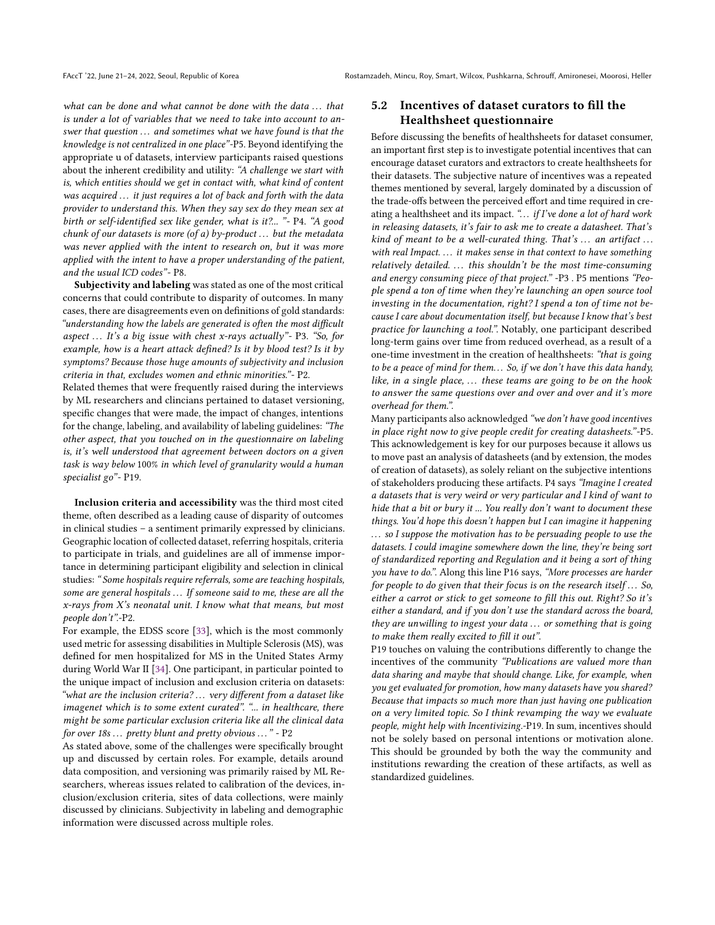what can be done and what cannot be done with the data  $\dots$  that is under a lot of variables that we need to take into account to answer that question ... and sometimes what we have found is that the knowledge is not centralized in one place"-P5. Beyond identifying the appropriate u of datasets, interview participants raised questions about the inherent credibility and utility: "A challenge we start with is, which entities should we get in contact with, what kind of content was acquired ... it just requires a lot of back and forth with the data provider to understand this. When they say sex do they mean sex at birth or self-identified sex like gender, what is it?... "- P4. "A good chunk of our datasets is more (of a) by-product  $\dots$  but the metadata was never applied with the intent to research on, but it was more applied with the intent to have a proper understanding of the patient, and the usual ICD codes"- P8.

Subjectivity and labeling was stated as one of the most critical concerns that could contribute to disparity of outcomes. In many cases, there are disagreements even on definitions of gold standards: "understanding how the labels are generated is often the most difficult aspect  $\ldots$  It's a big issue with chest x-rays actually"- P3. "So, for example, how is a heart attack defined? Is it by blood test? Is it by symptoms? Because those huge amounts of subjectivity and inclusion criteria in that, excludes women and ethnic minorities."- P2.

Related themes that were frequently raised during the interviews by ML researchers and clincians pertained to dataset versioning, specific changes that were made, the impact of changes, intentions for the change, labeling, and availability of labeling guidelines: "The other aspect, that you touched on in the questionnaire on labeling is, it's well understood that agreement between doctors on a given task is way below 100% in which level of granularity would a human specialist go"- P19.

Inclusion criteria and accessibility was the third most cited theme, often described as a leading cause of disparity of outcomes in clinical studies – a sentiment primarily expressed by clinicians. Geographic location of collected dataset, referring hospitals, criteria to participate in trials, and guidelines are all of immense importance in determining participant eligibility and selection in clinical studies: " Some hospitals require referrals, some are teaching hospitals, some are general hospitals ... If someone said to me, these are all the  $x$ -rays from  $X$ 's neonatal unit. I know what that means, but most people don't".-P2.

For example, the EDSS score [\[33\]](#page-9-22), which is the most commonly used metric for assessing disabilities in Multiple Sclerosis (MS), was defined for men hospitalized for MS in the United States Army during World War II [\[34\]](#page-9-23). One participant, in particular pointed to the unique impact of inclusion and exclusion criteria on datasets: "what are the inclusion criteria? ... very different from a dataset like imagenet which is to some extent curated". "... in healthcare, there might be some particular exclusion criteria like all the clinical data for over 18s ... pretty blunt and pretty obvious ... " - P2

As stated above, some of the challenges were specifically brought up and discussed by certain roles. For example, details around data composition, and versioning was primarily raised by ML Researchers, whereas issues related to calibration of the devices, inclusion/exclusion criteria, sites of data collections, were mainly discussed by clinicians. Subjectivity in labeling and demographic information were discussed across multiple roles.

# 5.2 Incentives of dataset curators to fill the Healthsheet questionnaire

Before discussing the benefits of healthsheets for dataset consumer, an important first step is to investigate potential incentives that can encourage dataset curators and extractors to create healthsheets for their datasets. The subjective nature of incentives was a repeated themes mentioned by several, largely dominated by a discussion of the trade-offs between the perceived effort and time required in creating a healthsheet and its impact. "... if I've done a lot of hard work in releasing datasets, it's fair to ask me to create a datasheet. That's kind of meant to be a well-curated thing. That's  $\dots$  an artifact  $\dots$ with real Impact. ... it makes sense in that context to have something relatively detailed.  $\ldots$  this shouldn't be the most time-consuming and energy consuming piece of that project." -P3 . P5 mentions "People spend a ton of time when they're launching an open source tool investing in the documentation, right? I spend a ton of time not because I care about documentation itself, but because I know that's best practice for launching a tool.". Notably, one participant described long-term gains over time from reduced overhead, as a result of a one-time investment in the creation of healthsheets: "that is going to be a peace of mind for them... So, if we don't have this data handy, like, in a single place,  $\ldots$  these teams are going to be on the hook to answer the same questions over and over and over and it's more overhead for them.".

Many participants also acknowledged "we don't have good incentives in place right now to give people credit for creating datasheets."-P5. This acknowledgement is key for our purposes because it allows us to move past an analysis of datasheets (and by extension, the modes of creation of datasets), as solely reliant on the subjective intentions of stakeholders producing these artifacts. P4 says "Imagine I created a datasets that is very weird or very particular and I kind of want to hide that a bit or bury it ... You really don't want to document these things. You'd hope this doesn't happen but I can imagine it happening ... so I suppose the motivation has to be persuading people to use the datasets. I could imagine somewhere down the line, they're being sort of standardized reporting and Regulation and it being a sort of thing you have to do.". Along this line P16 says, "More processes are harder for people to do given that their focus is on the research itself  $\ldots$  So, either a carrot or stick to get someone to fill this out. Right? So it's either a standard, and if you don't use the standard across the board, they are unwilling to ingest your data . . . or something that is going to make them really excited to fill it out".

P19 touches on valuing the contributions differently to change the incentives of the community "Publications are valued more than data sharing and maybe that should change. Like, for example, when you get evaluated for promotion, how many datasets have you shared? Because that impacts so much more than just having one publication on a very limited topic. So I think revamping the way we evaluate people, might help with Incentivizing.-P19. In sum, incentives should not be solely based on personal intentions or motivation alone. This should be grounded by both the way the community and institutions rewarding the creation of these artifacts, as well as standardized guidelines.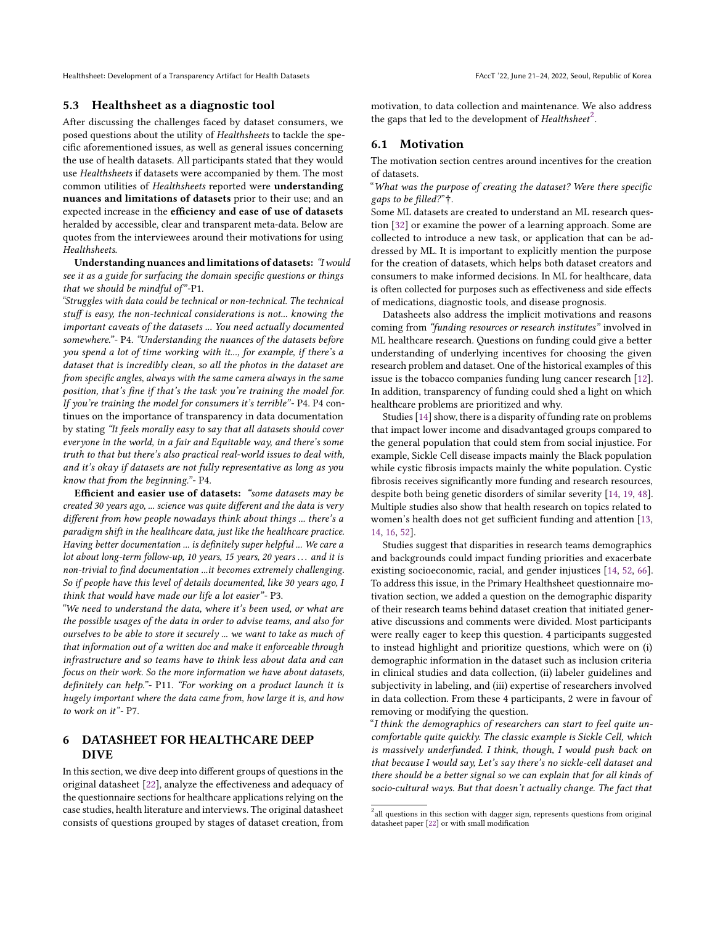### 5.3 Healthsheet as a diagnostic tool

After discussing the challenges faced by dataset consumers, we posed questions about the utility of Healthsheets to tackle the specific aforementioned issues, as well as general issues concerning the use of health datasets. All participants stated that they would use Healthsheets if datasets were accompanied by them. The most common utilities of Healthsheets reported were understanding nuances and limitations of datasets prior to their use; and an expected increase in the efficiency and ease of use of datasets heralded by accessible, clear and transparent meta-data. Below are quotes from the interviewees around their motivations for using **Healthsheets.** 

Understanding nuances and limitations of datasets: "I would see it as a guide for surfacing the domain specific questions or things that we should be mindful of"-P1.

"Struggles with data could be technical or non-technical. The technical stuff is easy, the non-technical considerations is not... knowing the important caveats of the datasets ... You need actually documented somewhere."- P4. "Understanding the nuances of the datasets before you spend a lot of time working with it..., for example, if there's a dataset that is incredibly clean, so all the photos in the dataset are from specific angles, always with the same camera always in the same position, that's fine if that's the task you're training the model for. If you're training the model for consumers it's terrible"- P4. P4 continues on the importance of transparency in data documentation by stating "It feels morally easy to say that all datasets should cover everyone in the world, in a fair and Equitable way, and there's some truth to that but there's also practical real-world issues to deal with, and it's okay if datasets are not fully representative as long as you know that from the beginning."- P4.

Efficient and easier use of datasets: "some datasets may be created 30 years ago, ... science was quite different and the data is very different from how people nowadays think about things ... there's a paradigm shift in the healthcare data, just like the healthcare practice. Having better documentation ... is definitely super helpful ... We care a lot about long-term follow-up, 10 years, 15 years, 20 years ... and it is non-trivial to find documentation ...it becomes extremely challenging. So if people have this level of details documented, like 30 years ago, I think that would have made our life a lot easier"- P3.

"We need to understand the data, where it's been used, or what are the possible usages of the data in order to advise teams, and also for ourselves to be able to store it securely ... we want to take as much of that information out of a written doc and make it enforceable through infrastructure and so teams have to think less about data and can focus on their work. So the more information we have about datasets, definitely can help."- P11. "For working on a product launch it is hugely important where the data came from, how large it is, and how to work on it"- P7.

# 6 DATASHEET FOR HEALTHCARE DEEP DIVE

In this section, we dive deep into different groups of questions in the original datasheet [\[22\]](#page-9-0), analyze the effectiveness and adequacy of the questionnaire sections for healthcare applications relying on the case studies, health literature and interviews. The original datasheet consists of questions grouped by stages of dataset creation, from

motivation, to data collection and maintenance. We also address the gaps that led to the development of Healthsheet $^2$  $^2$ .

#### 6.1 Motivation

The motivation section centres around incentives for the creation of datasets.

"What was the purpose of creating the dataset? Were there specific gaps to be filled?"<sup>†</sup>.

Some ML datasets are created to understand an ML research question [\[32\]](#page-9-24) or examine the power of a learning approach. Some are collected to introduce a new task, or application that can be addressed by ML. It is important to explicitly mention the purpose for the creation of datasets, which helps both dataset creators and consumers to make informed decisions. In ML for healthcare, data is often collected for purposes such as effectiveness and side effects of medications, diagnostic tools, and disease prognosis.

Datasheets also address the implicit motivations and reasons coming from "funding resources or research institutes" involved in ML healthcare research. Questions on funding could give a better understanding of underlying incentives for choosing the given research problem and dataset. One of the historical examples of this issue is the tobacco companies funding lung cancer research [\[12\]](#page-9-25). In addition, transparency of funding could shed a light on which healthcare problems are prioritized and why.

Studies [\[14\]](#page-9-6) show, there is a disparity of funding rate on problems that impact lower income and disadvantaged groups compared to the general population that could stem from social injustice. For example, Sickle Cell disease impacts mainly the Black population while cystic fibrosis impacts mainly the white population. Cystic fibrosis receives significantly more funding and research resources, despite both being genetic disorders of similar severity [\[14,](#page-9-6) [19,](#page-9-26) [48\]](#page-10-21). Multiple studies also show that health research on topics related to women's health does not get sufficient funding and attention [\[13,](#page-9-27) [14,](#page-9-6) [16,](#page-9-28) [52\]](#page-10-22).

Studies suggest that disparities in research teams demographics and backgrounds could impact funding priorities and exacerbate existing socioeconomic, racial, and gender injustices [\[14,](#page-9-6) [52,](#page-10-22) [66\]](#page-10-23). To address this issue, in the Primary Healthsheet questionnaire motivation section, we added a question on the demographic disparity of their research teams behind dataset creation that initiated generative discussions and comments were divided. Most participants were really eager to keep this question. 4 participants suggested to instead highlight and prioritize questions, which were on (i) demographic information in the dataset such as inclusion criteria in clinical studies and data collection, (ii) labeler guidelines and subjectivity in labeling, and (iii) expertise of researchers involved in data collection. From these 4 participants, 2 were in favour of removing or modifying the question.

"I think the demographics of researchers can start to feel quite uncomfortable quite quickly. The classic example is Sickle Cell, which is massively underfunded. I think, though, I would push back on that because I would say, Let's say there's no sickle-cell dataset and there should be a better signal so we can explain that for all kinds of socio-cultural ways. But that doesn't actually change. The fact that

 $^{2}$ all questions in this section with dagger sign, represents questions from original datasheet paper [\[22\]](#page-9-0) or with small modification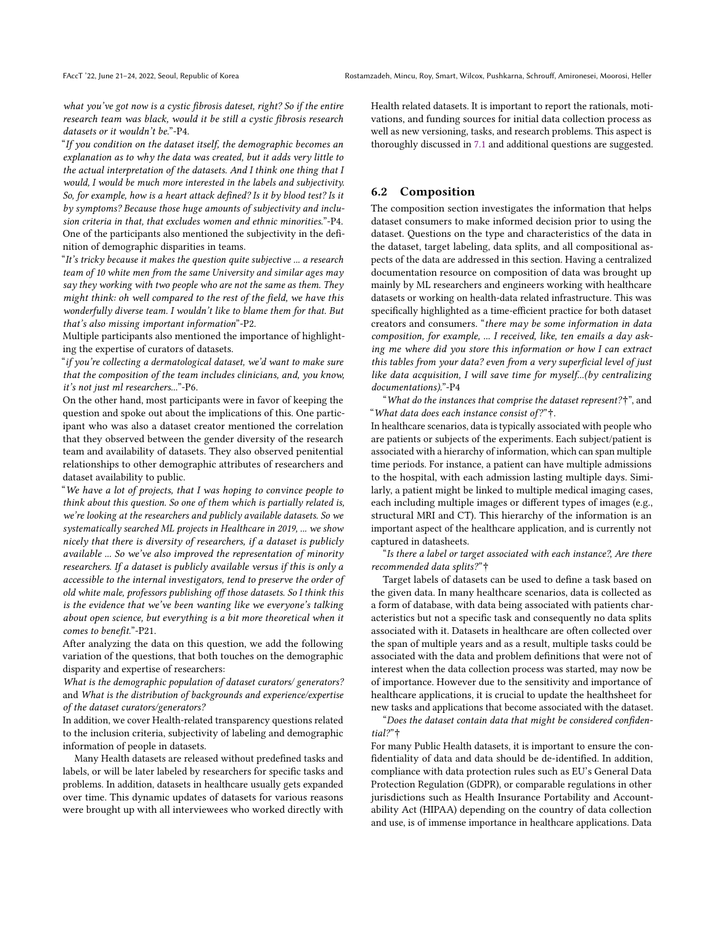what you've got now is a cystic fibrosis dateset, right? So if the entire research team was black, would it be still a cystic fibrosis research datasets or it wouldn't be."-P4.

"If you condition on the dataset itself, the demographic becomes an explanation as to why the data was created, but it adds very little to the actual interpretation of the datasets. And I think one thing that I would, I would be much more interested in the labels and subjectivity. So, for example, how is a heart attack defined? Is it by blood test? Is it by symptoms? Because those huge amounts of subjectivity and inclusion criteria in that, that excludes women and ethnic minorities."-P4. One of the participants also mentioned the subjectivity in the definition of demographic disparities in teams.

"It's tricky because it makes the question quite subjective ... a research team of 10 white men from the same University and similar ages may say they working with two people who are not the same as them. They might think: oh well compared to the rest of the field, we have this wonderfully diverse team. I wouldn't like to blame them for that. But that's also missing important information"-P2.

Multiple participants also mentioned the importance of highlighting the expertise of curators of datasets.

"if you're collecting a dermatological dataset, we'd want to make sure that the composition of the team includes clinicians, and, you know, it's not just ml researchers..."-P6.

On the other hand, most participants were in favor of keeping the question and spoke out about the implications of this. One participant who was also a dataset creator mentioned the correlation that they observed between the gender diversity of the research team and availability of datasets. They also observed penitential relationships to other demographic attributes of researchers and dataset availability to public.

"We have a lot of projects, that I was hoping to convince people to think about this question. So one of them which is partially related is, we're looking at the researchers and publicly available datasets. So we systematically searched ML projects in Healthcare in 2019, ... we show nicely that there is diversity of researchers, if a dataset is publicly available ... So we've also improved the representation of minority researchers. If a dataset is publicly available versus if this is only a accessible to the internal investigators, tend to preserve the order of old white male, professors publishing off those datasets. So I think this is the evidence that we've been wanting like we everyone's talking about open science, but everything is a bit more theoretical when it comes to benefit."-P21.

After analyzing the data on this question, we add the following variation of the questions, that both touches on the demographic disparity and expertise of researchers:

What is the demographic population of dataset curators/ generators? and What is the distribution of backgrounds and experience/expertise of the dataset curators/generators?

In addition, we cover Health-related transparency questions related to the inclusion criteria, subjectivity of labeling and demographic information of people in datasets.

Many Health datasets are released without predefined tasks and labels, or will be later labeled by researchers for specific tasks and problems. In addition, datasets in healthcare usually gets expanded over time. This dynamic updates of datasets for various reasons were brought up with all interviewees who worked directly with Health related datasets. It is important to report the rationals, motivations, and funding sources for initial data collection process as well as new versioning, tasks, and research problems. This aspect is thoroughly discussed in [7.1](#page-6-0) and additional questions are suggested.

### 6.2 Composition

The composition section investigates the information that helps dataset consumers to make informed decision prior to using the dataset. Questions on the type and characteristics of the data in the dataset, target labeling, data splits, and all compositional aspects of the data are addressed in this section. Having a centralized documentation resource on composition of data was brought up mainly by ML researchers and engineers working with healthcare datasets or working on health-data related infrastructure. This was specifically highlighted as a time-efficient practice for both dataset creators and consumers. "there may be some information in data composition, for example, ... I received, like, ten emails a day asking me where did you store this information or how I can extract this tables from your data? even from a very superficial level of just like data acquisition, I will save time for myself...(by centralizing documentations)."-P4

"What do the instances that comprise the dataset represent?†", and "What data does each instance consist of?"†.

In healthcare scenarios, data is typically associated with people who are patients or subjects of the experiments. Each subject/patient is associated with a hierarchy of information, which can span multiple time periods. For instance, a patient can have multiple admissions to the hospital, with each admission lasting multiple days. Similarly, a patient might be linked to multiple medical imaging cases, each including multiple images or different types of images (e.g., structural MRI and CT). This hierarchy of the information is an important aspect of the healthcare application, and is currently not captured in datasheets.

"Is there a label or target associated with each instance?, Are there recommended data splits?"<sup>†</sup>

Target labels of datasets can be used to define a task based on the given data. In many healthcare scenarios, data is collected as a form of database, with data being associated with patients characteristics but not a specific task and consequently no data splits associated with it. Datasets in healthcare are often collected over the span of multiple years and as a result, multiple tasks could be associated with the data and problem definitions that were not of interest when the data collection process was started, may now be of importance. However due to the sensitivity and importance of healthcare applications, it is crucial to update the healthsheet for new tasks and applications that become associated with the dataset.

"Does the dataset contain data that might be considered confidential?"†

For many Public Health datasets, it is important to ensure the confidentiality of data and data should be de-identified. In addition, compliance with data protection rules such as EU's General Data Protection Regulation (GDPR), or comparable regulations in other jurisdictions such as Health Insurance Portability and Accountability Act (HIPAA) depending on the country of data collection and use, is of immense importance in healthcare applications. Data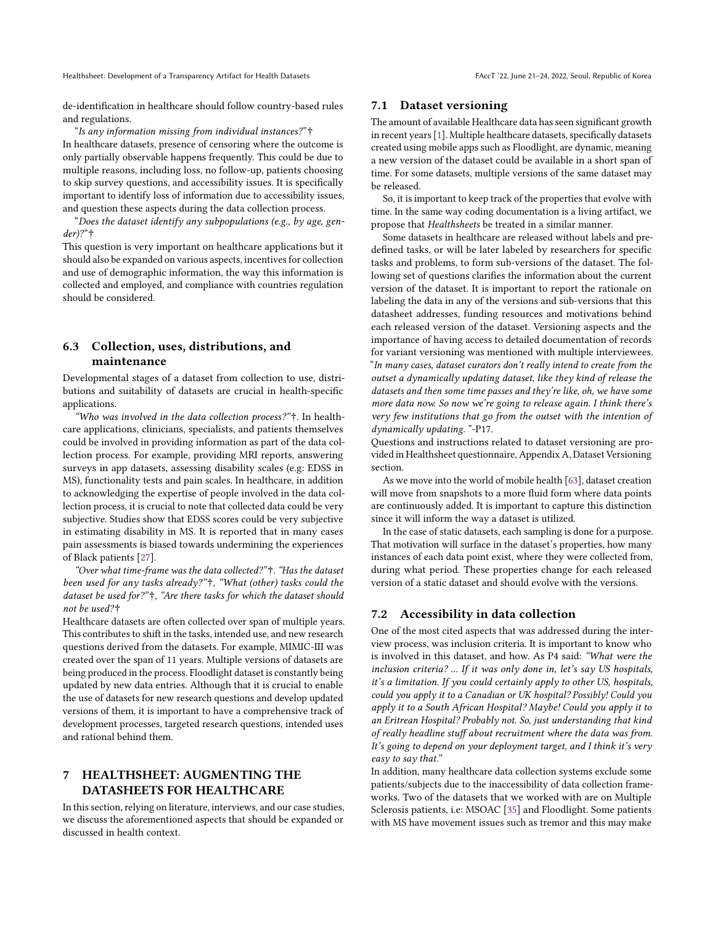de-identification in healthcare should follow country-based rules and regulations.

"Is any information missing from individual instances?" $\dagger$ 

In healthcare datasets, presence of censoring where the outcome is only partially observable happens frequently. This could be due to multiple reasons, including loss, no follow-up, patients choosing to skip survey questions, and accessibility issues. It is specifically important to identify loss of information due to accessibility issues, and question these aspects during the data collection process.

"Does the dataset identify any subpopulations (e.g., by age, gen $der)$ ?" $\dagger$ 

This question is very important on healthcare applications but it should also be expanded on various aspects, incentives for collection and use of demographic information, the way this information is collected and employed, and compliance with countries regulation should be considered.

# 6.3 Collection, uses, distributions, and maintenance

Developmental stages of a dataset from collection to use, distributions and suitability of datasets are crucial in health-specific applications.

"Who was involved in the data collection process?"†. In healthcare applications, clinicians, specialists, and patients themselves could be involved in providing information as part of the data collection process. For example, providing MRI reports, answering surveys in app datasets, assessing disability scales (e.g: EDSS in MS), functionality tests and pain scales. In healthcare, in addition to acknowledging the expertise of people involved in the data collection process, it is crucial to note that collected data could be very subjective. Studies show that EDSS scores could be very subjective in estimating disability in MS. It is reported that in many cases pain assessments is biased towards undermining the experiences of Black patients [\[27\]](#page-9-29).

"Over what time-frame was the data collected?"†. "Has the dataset been used for any tasks already?"†, "What (other) tasks could the dataset be used for?"†, "Are there tasks for which the dataset should not be used?†

Healthcare datasets are often collected over span of multiple years. This contributes to shift in the tasks, intended use, and new research questions derived from the datasets. For example, MIMIC-III was created over the span of 11 years. Multiple versions of datasets are being produced in the process. Floodlight dataset is constantly being updated by new data entries. Although that it is crucial to enable the use of datasets for new research questions and develop updated versions of them, it is important to have a comprehensive track of development processes, targeted research questions, intended uses and rational behind them.

# 7 HEALTHSHEET: AUGMENTING THE DATASHEETS FOR HEALTHCARE

In this section, relying on literature, interviews, and our case studies, we discuss the aforementioned aspects that should be expanded or discussed in health context.

### <span id="page-6-0"></span>7.1 Dataset versioning

The amount of available Healthcare data has seen significant growth in recent years [\[1\]](#page-9-30). Multiple healthcare datasets, specifically datasets created using mobile apps such as Floodlight, are dynamic, meaning a new version of the dataset could be available in a short span of time. For some datasets, multiple versions of the same dataset may be released.

So, it is important to keep track of the properties that evolve with time. In the same way coding documentation is a living artifact, we propose that Healthsheets be treated in a similar manner.

Some datasets in healthcare are released without labels and predefined tasks, or will be later labeled by researchers for specific tasks and problems, to form sub-versions of the dataset. The following set of questions clarifies the information about the current version of the dataset. It is important to report the rationale on labeling the data in any of the versions and sub-versions that this datasheet addresses, funding resources and motivations behind each released version of the dataset. Versioning aspects and the importance of having access to detailed documentation of records for variant versioning was mentioned with multiple interviewees. "In many cases, dataset curators don't really intend to create from the outset a dynamically updating dataset, like they kind of release the datasets and then some time passes and they're like, oh, we have some more data now. So now we're going to release again. I think there's very few institutions that go from the outset with the intention of dynamically updating. "-P17.

Questions and instructions related to dataset versioning are provided in Healthsheet questionnaire, Appendix A, Dataset Versioning section.

As we move into the world of mobile health [\[63\]](#page-10-24), dataset creation will move from snapshots to a more fluid form where data points are continuously added. It is important to capture this distinction since it will inform the way a dataset is utilized.

In the case of static datasets, each sampling is done for a purpose. That motivation will surface in the dataset's properties, how many instances of each data point exist, where they were collected from, during what period. These properties change for each released version of a static dataset and should evolve with the versions.

### 7.2 Accessibility in data collection

One of the most cited aspects that was addressed during the interview process, was inclusion criteria. It is important to know who is involved in this dataset, and how. As P4 said: "What were the inclusion criteria? ... If it was only done in, let's say US hospitals, it's a limitation. If you could certainly apply to other US, hospitals, could you apply it to a Canadian or UK hospital? Possibly! Could you apply it to a South African Hospital? Maybe! Could you apply it to an Eritrean Hospital? Probably not. So, just understanding that kind of really headline stuff about recruitment where the data was from. It's going to depend on your deployment target, and I think it's very easy to say that."

In addition, many healthcare data collection systems exclude some patients/subjects due to the inaccessibility of data collection frameworks. Two of the datasets that we worked with are on Multiple Sclerosis patients, i.e: MSOAC [\[35\]](#page-9-15) and Floodlight. Some patients with MS have movement issues such as tremor and this may make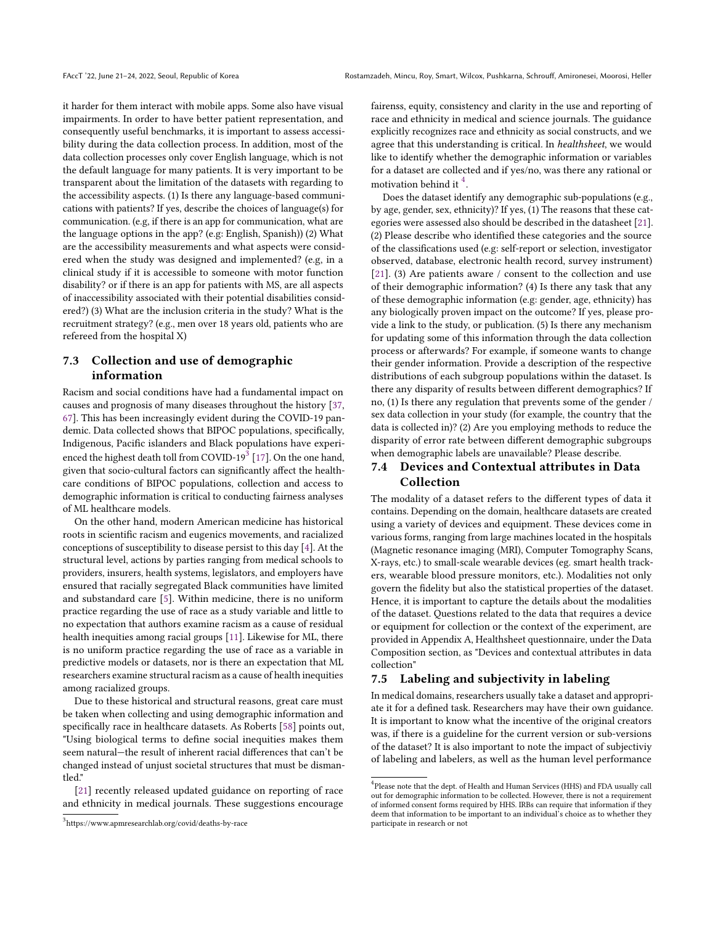it harder for them interact with mobile apps. Some also have visual impairments. In order to have better patient representation, and consequently useful benchmarks, it is important to assess accessibility during the data collection process. In addition, most of the data collection processes only cover English language, which is not the default language for many patients. It is very important to be transparent about the limitation of the datasets with regarding to the accessibility aspects. (1) Is there any language-based communications with patients? If yes, describe the choices of language(s) for communication. (e.g, if there is an app for communication, what are the language options in the app? (e.g: English, Spanish)) (2) What are the accessibility measurements and what aspects were considered when the study was designed and implemented? (e.g, in a clinical study if it is accessible to someone with motor function disability? or if there is an app for patients with MS, are all aspects of inaccessibility associated with their potential disabilities considered?) (3) What are the inclusion criteria in the study? What is the recruitment strategy? (e.g., men over 18 years old, patients who are refereed from the hospital X)

# 7.3 Collection and use of demographic information

Racism and social conditions have had a fundamental impact on causes and prognosis of many diseases throughout the history [\[37,](#page-9-31) [67\]](#page-10-25). This has been increasingly evident during the COVID-19 pandemic. Data collected shows that BIPOC populations, specifically, Indigenous, Pacific islanders and Black populations have experienced the highest death toll from COVID-19 $^3$  $^3$  [\[17\]](#page-9-32). On the one hand, given that socio-cultural factors can significantly affect the healthcare conditions of BIPOC populations, collection and access to demographic information is critical to conducting fairness analyses of ML healthcare models.

On the other hand, modern American medicine has historical roots in scientific racism and eugenics movements, and racialized conceptions of susceptibility to disease persist to this day [\[4\]](#page-9-33). At the structural level, actions by parties ranging from medical schools to providers, insurers, health systems, legislators, and employers have ensured that racially segregated Black communities have limited and substandard care [\[5\]](#page-9-34). Within medicine, there is no uniform practice regarding the use of race as a study variable and little to no expectation that authors examine racism as a cause of residual health inequities among racial groups [\[11\]](#page-9-35). Likewise for ML, there is no uniform practice regarding the use of race as a variable in predictive models or datasets, nor is there an expectation that ML researchers examine structural racism as a cause of health inequities among racialized groups.

Due to these historical and structural reasons, great care must be taken when collecting and using demographic information and specifically race in healthcare datasets. As Roberts [\[58\]](#page-10-26) points out, "Using biological terms to define social inequities makes them seem natural—the result of inherent racial differences that can't be changed instead of unjust societal structures that must be dismantled."

[\[21\]](#page-9-36) recently released updated guidance on reporting of race and ethnicity in medical journals. These suggestions encourage fairenss, equity, consistency and clarity in the use and reporting of race and ethnicity in medical and science journals. The guidance explicitly recognizes race and ethnicity as social constructs, and we agree that this understanding is critical. In healthsheet, we would like to identify whether the demographic information or variables for a dataset are collected and if yes/no, was there any rational or motivation behind it  $4$ .

Does the dataset identify any demographic sub-populations (e.g., by age, gender, sex, ethnicity)? If yes, (1) The reasons that these categories were assessed also should be described in the datasheet [\[21\]](#page-9-36). (2) Please describe who identified these categories and the source of the classifications used (e.g: self-report or selection, investigator observed, database, electronic health record, survey instrument) [\[21\]](#page-9-36). (3) Are patients aware / consent to the collection and use of their demographic information? (4) Is there any task that any of these demographic information (e.g: gender, age, ethnicity) has any biologically proven impact on the outcome? If yes, please provide a link to the study, or publication. (5) Is there any mechanism for updating some of this information through the data collection process or afterwards? For example, if someone wants to change their gender information. Provide a description of the respective distributions of each subgroup populations within the dataset. Is there any disparity of results between different demographics? If no, (1) Is there any regulation that prevents some of the gender / sex data collection in your study (for example, the country that the data is collected in)? (2) Are you employing methods to reduce the disparity of error rate between different demographic subgroups when demographic labels are unavailable? Please describe.

## 7.4 Devices and Contextual attributes in Data Collection

The modality of a dataset refers to the different types of data it contains. Depending on the domain, healthcare datasets are created using a variety of devices and equipment. These devices come in various forms, ranging from large machines located in the hospitals (Magnetic resonance imaging (MRI), Computer Tomography Scans, X-rays, etc.) to small-scale wearable devices (eg. smart health trackers, wearable blood pressure monitors, etc.). Modalities not only govern the fidelity but also the statistical properties of the dataset. Hence, it is important to capture the details about the modalities of the dataset. Questions related to the data that requires a device or equipment for collection or the context of the experiment, are provided in Appendix A, Healthsheet questionnaire, under the Data Composition section, as "Devices and contextual attributes in data collection"

### 7.5 Labeling and subjectivity in labeling

In medical domains, researchers usually take a dataset and appropriate it for a defined task. Researchers may have their own guidance. It is important to know what the incentive of the original creators was, if there is a guideline for the current version or sub-versions of the dataset? It is also important to note the impact of subjectiviy of labeling and labelers, as well as the human level performance

<sup>3</sup> https://www.apmresearchlab.org/covid/deaths-by-race

 $^4$ Please note that the dept. of Health and Human Services (HHS) and FDA usually call out for demographic information to be collected. However, there is not a requirement of informed consent forms required by HHS. IRBs can require that information if they deem that information to be important to an individual's choice as to whether they participate in research or not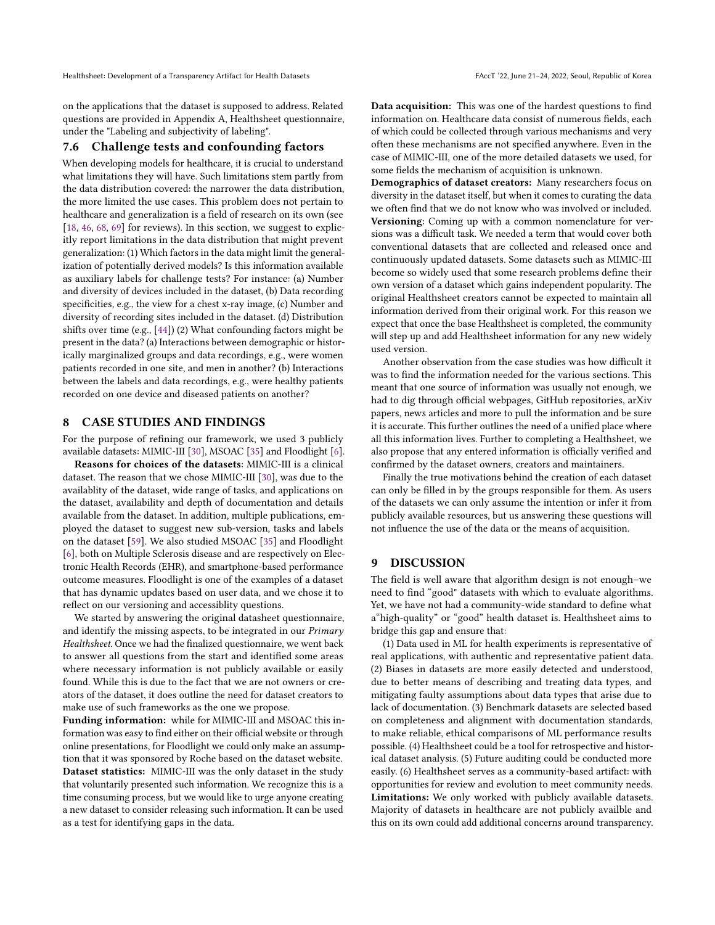on the applications that the dataset is supposed to address. Related questions are provided in Appendix A, Healthsheet questionnaire, under the "Labeling and subjectivity of labeling".

#### 7.6 Challenge tests and confounding factors

When developing models for healthcare, it is crucial to understand what limitations they will have. Such limitations stem partly from the data distribution covered: the narrower the data distribution, the more limited the use cases. This problem does not pertain to healthcare and generalization is a field of research on its own (see [\[18,](#page-9-37) [46,](#page-10-27) [68,](#page-10-28) [69\]](#page-10-29) for reviews). In this section, we suggest to explicitly report limitations in the data distribution that might prevent generalization: (1) Which factors in the data might limit the generalization of potentially derived models? Is this information available as auxiliary labels for challenge tests? For instance: (a) Number and diversity of devices included in the dataset, (b) Data recording specificities, e.g., the view for a chest x-ray image, (c) Number and diversity of recording sites included in the dataset. (d) Distribution shifts over time (e.g., [\[44\]](#page-10-30)) (2) What confounding factors might be present in the data? (a) Interactions between demographic or historically marginalized groups and data recordings, e.g., were women patients recorded in one site, and men in another? (b) Interactions between the labels and data recordings, e.g., were healthy patients recorded on one device and diseased patients on another?

### <span id="page-8-0"></span>8 CASE STUDIES AND FINDINGS

For the purpose of refining our framework, we used 3 publicly available datasets: MIMIC-III [\[30\]](#page-9-14), MSOAC [\[35\]](#page-9-15) and Floodlight [\[6\]](#page-9-16).

Reasons for choices of the datasets: MIMIC-III is a clinical dataset. The reason that we chose MIMIC-III [\[30\]](#page-9-14), was due to the availablity of the dataset, wide range of tasks, and applications on the dataset, availability and depth of documentation and details available from the dataset. In addition, multiple publications, employed the dataset to suggest new sub-version, tasks and labels on the dataset [\[59\]](#page-10-31). We also studied MSOAC [\[35\]](#page-9-15) and Floodlight [\[6\]](#page-9-16), both on Multiple Sclerosis disease and are respectively on Electronic Health Records (EHR), and smartphone-based performance outcome measures. Floodlight is one of the examples of a dataset that has dynamic updates based on user data, and we chose it to reflect on our versioning and accessiblity questions.

We started by answering the original datasheet questionnaire, and identify the missing aspects, to be integrated in our Primary Healthsheet. Once we had the finalized questionnaire, we went back to answer all questions from the start and identified some areas where necessary information is not publicly available or easily found. While this is due to the fact that we are not owners or creators of the dataset, it does outline the need for dataset creators to make use of such frameworks as the one we propose.

Funding information: while for MIMIC-III and MSOAC this information was easy to find either on their official website or through online presentations, for Floodlight we could only make an assumption that it was sponsored by Roche based on the dataset website. Dataset statistics: MIMIC-III was the only dataset in the study that voluntarily presented such information. We recognize this is a time consuming process, but we would like to urge anyone creating a new dataset to consider releasing such information. It can be used as a test for identifying gaps in the data.

Data acquisition: This was one of the hardest questions to find information on. Healthcare data consist of numerous fields, each of which could be collected through various mechanisms and very often these mechanisms are not specified anywhere. Even in the case of MIMIC-III, one of the more detailed datasets we used, for some fields the mechanism of acquisition is unknown.

Demographics of dataset creators: Many researchers focus on diversity in the dataset itself, but when it comes to curating the data we often find that we do not know who was involved or included. Versioning: Coming up with a common nomenclature for versions was a difficult task. We needed a term that would cover both conventional datasets that are collected and released once and continuously updated datasets. Some datasets such as MIMIC-III become so widely used that some research problems define their own version of a dataset which gains independent popularity. The original Healthsheet creators cannot be expected to maintain all information derived from their original work. For this reason we expect that once the base Healthsheet is completed, the community will step up and add Healthsheet information for any new widely used version.

Another observation from the case studies was how difficult it was to find the information needed for the various sections. This meant that one source of information was usually not enough, we had to dig through official webpages, GitHub repositories, arXiv papers, news articles and more to pull the information and be sure it is accurate. This further outlines the need of a unified place where all this information lives. Further to completing a Healthsheet, we also propose that any entered information is officially verified and confirmed by the dataset owners, creators and maintainers.

Finally the true motivations behind the creation of each dataset can only be filled in by the groups responsible for them. As users of the datasets we can only assume the intention or infer it from publicly available resources, but us answering these questions will not influence the use of the data or the means of acquisition.

### 9 DISCUSSION

The field is well aware that algorithm design is not enough–we need to find "good" datasets with which to evaluate algorithms. Yet, we have not had a community-wide standard to define what a"high-quality" or "good" health dataset is. Healthsheet aims to bridge this gap and ensure that:

(1) Data used in ML for health experiments is representative of real applications, with authentic and representative patient data. (2) Biases in datasets are more easily detected and understood, due to better means of describing and treating data types, and mitigating faulty assumptions about data types that arise due to lack of documentation. (3) Benchmark datasets are selected based on completeness and alignment with documentation standards, to make reliable, ethical comparisons of ML performance results possible. (4) Healthsheet could be a tool for retrospective and historical dataset analysis. (5) Future auditing could be conducted more easily. (6) Healthsheet serves as a community-based artifact: with opportunities for review and evolution to meet community needs. Limitations: We only worked with publicly available datasets. Majority of datasets in healthcare are not publicly availble and this on its own could add additional concerns around transparency.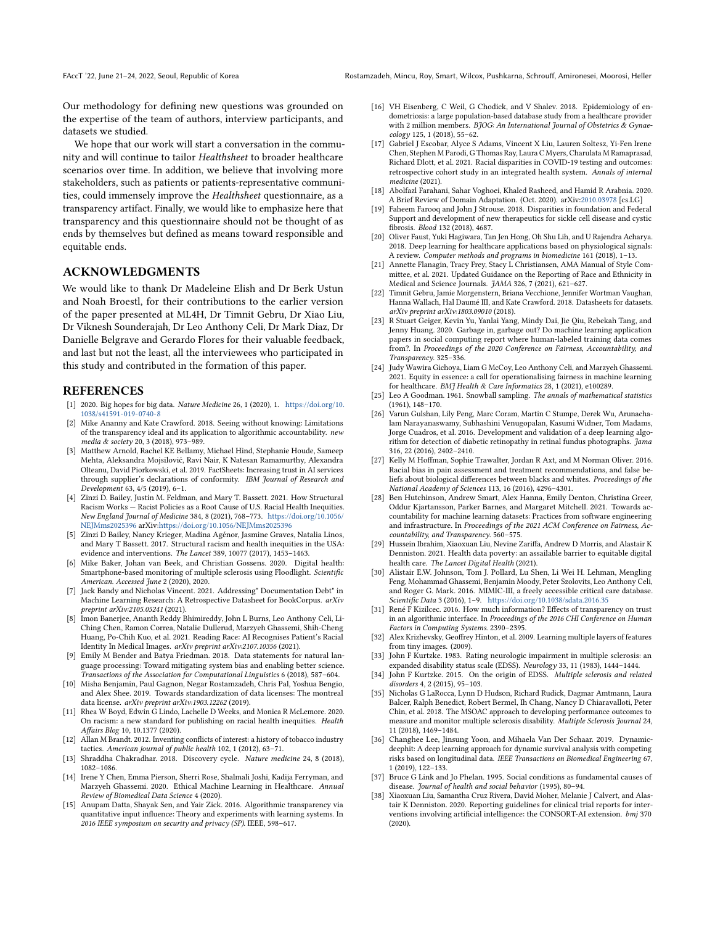Our methodology for defining new questions was grounded on the expertise of the team of authors, interview participants, and datasets we studied.

We hope that our work will start a conversation in the community and will continue to tailor Healthsheet to broader healthcare scenarios over time. In addition, we believe that involving more stakeholders, such as patients or patients-representative communities, could immensely improve the Healthsheet questionnaire, as a transparency artifact. Finally, we would like to emphasize here that transparency and this questionnaire should not be thought of as ends by themselves but defined as means toward responsible and equitable ends.

### ACKNOWLEDGMENTS

We would like to thank Dr Madeleine Elish and Dr Berk Ustun and Noah Broestl, for their contributions to the earlier version of the paper presented at ML4H, Dr Timnit Gebru, Dr Xiao Liu, Dr Viknesh Sounderajah, Dr Leo Anthony Celi, Dr Mark Diaz, Dr Danielle Belgrave and Gerardo Flores for their valuable feedback, and last but not the least, all the interviewees who participated in this study and contributed in the formation of this paper.

#### REFERENCES

- <span id="page-9-30"></span>[1] 2020. Big hopes for big data. Nature Medicine 26, 1 (2020), 1. [https://doi.org/10.](https://doi.org/10.1038/s41591-019-0740-8) [1038/s41591-019-0740-8](https://doi.org/10.1038/s41591-019-0740-8)
- <span id="page-9-18"></span>[2] Mike Ananny and Kate Crawford. 2018. Seeing without knowing: Limitations of the transparency ideal and its application to algorithmic accountability. new media & society 20, 3 (2018), 973–989.
- <span id="page-9-11"></span>[3] Matthew Arnold, Rachel KE Bellamy, Michael Hind, Stephanie Houde, Sameep Mehta, Aleksandra Mojsilović, Ravi Nair, K Natesan Ramamurthy, Alexandra Olteanu, David Piorkowski, et al. 2019. FactSheets: Increasing trust in AI services through supplier's declarations of conformity. IBM Journal of Research and Development 63, 4/5 (2019), 6–1.
- <span id="page-9-33"></span>[4] Zinzi D. Bailey, Justin M. Feldman, and Mary T. Bassett. 2021. How Structural Racism Works — Racist Policies as a Root Cause of U.S. Racial Health Inequities. New England Journal of Medicine 384, 8 (2021), 768–773. [https://doi.org/10.1056/](https://doi.org/10.1056/NEJMms2025396) [NEJMms2025396](https://doi.org/10.1056/NEJMms2025396) arXiv[:https://doi.org/10.1056/NEJMms2025396](https://arxiv.org/abs/https://doi.org/10.1056/NEJMms2025396)
- <span id="page-9-34"></span>[5] Zinzi D Bailey, Nancy Krieger, Madina Agénor, Jasmine Graves, Natalia Linos, and Mary T Bassett. 2017. Structural racism and health inequities in the USA: evidence and interventions. The Lancet 389, 10077 (2017), 1453–1463.
- <span id="page-9-16"></span>[6] Mike Baker, Johan van Beek, and Christian Gossens. 2020. Digital health: Smartphone-based monitoring of multiple sclerosis using Floodlight. Scientific American. Accessed June 2 (2020), 2020.
- <span id="page-9-20"></span>[7] Jack Bandy and Nicholas Vincent. 2021. Addressing" Documentation Debt" in Machine Learning Research: A Retrospective Datasheet for BookCorpus. arXiv preprint arXiv:2105.05241 (2021).
- <span id="page-9-4"></span>[8] Imon Banerjee, Ananth Reddy Bhimireddy, John L Burns, Leo Anthony Celi, Li-Ching Chen, Ramon Correa, Natalie Dullerud, Marzyeh Ghassemi, Shih-Cheng Huang, Po-Chih Kuo, et al. 2021. Reading Race: AI Recognises Patient's Racial Identity In Medical Images. arXiv preprint arXiv:2107.10356 (2021).
- <span id="page-9-8"></span>[9] Emily M Bender and Batya Friedman. 2018. Data statements for natural language processing: Toward mitigating system bias and enabling better science. Transactions of the Association for Computational Linguistics 6 (2018), 587–604.
- <span id="page-9-9"></span>[10] Misha Benjamin, Paul Gagnon, Negar Rostamzadeh, Chris Pal, Yoshua Bengio, and Alex Shee. 2019. Towards standardization of data licenses: The montreal data license. arXiv preprint arXiv:1903.12262 (2019).
- <span id="page-9-35"></span>[11] Rhea W Boyd, Edwin G Lindo, Lachelle D Weeks, and Monica R McLemore. 2020. On racism: a new standard for publishing on racial health inequities. Health Affairs Blog 10, 10.1377 (2020).
- <span id="page-9-25"></span>[12] Allan M Brandt. 2012. Inventing conflicts of interest: a history of tobacco industry tactics. American journal of public health 102, 1 (2012), 63–71.
- <span id="page-9-27"></span>[13] Shraddha Chakradhar. 2018. Discovery cycle. Nature medicine 24, 8 (2018), 1082–1086.
- <span id="page-9-6"></span>[14] Irene Y Chen, Emma Pierson, Sherri Rose, Shalmali Joshi, Kadija Ferryman, and Marzyeh Ghassemi. 2020. Ethical Machine Learning in Healthcare. Annual Review of Biomedical Data Science 4 (2020).
- <span id="page-9-17"></span>[15] Anupam Datta, Shayak Sen, and Yair Zick. 2016. Algorithmic transparency via quantitative input influence: Theory and experiments with learning systems. In 2016 IEEE symposium on security and privacy (SP). IEEE, 598–617.
- <span id="page-9-28"></span>[16] VH Eisenberg, C Weil, G Chodick, and V Shalev. 2018. Epidemiology of endometriosis: a large population-based database study from a healthcare provider with 2 million members. BJOG: An International Journal of Obstetrics & Gynaecology 125, 1 (2018), 55–62.
- <span id="page-9-32"></span>[17] Gabriel J Escobar, Alyce S Adams, Vincent X Liu, Lauren Soltesz, Yi-Fen Irene Chen, Stephen M Parodi, G Thomas Ray, Laura C Myers, Charulata M Ramaprasad, Richard Dlott, et al. 2021. Racial disparities in COVID-19 testing and outcomes: retrospective cohort study in an integrated health system. Annals of internal medicine (2021).
- <span id="page-9-37"></span>[18] Abolfazl Farahani, Sahar Voghoei, Khaled Rasheed, and Hamid R Arabnia. 2020. A Brief Review of Domain Adaptation. (Oct. 2020). arXiv[:2010.03978](https://arxiv.org/abs/2010.03978) [cs.LG]
- <span id="page-9-26"></span>[19] Faheem Farooq and John J Strouse. 2018. Disparities in foundation and Federal Support and development of new therapeutics for sickle cell disease and cystic fibrosis. Blood 132 (2018), 4687.
- <span id="page-9-3"></span>[20] Oliver Faust, Yuki Hagiwara, Tan Jen Hong, Oh Shu Lih, and U Rajendra Acharya. 2018. Deep learning for healthcare applications based on physiological signals: A review. Computer methods and programs in biomedicine 161 (2018), 1–13.
- <span id="page-9-36"></span>[21] Annette Flanagin, Tracy Frey, Stacy L Christiansen, AMA Manual of Style Committee, et al. 2021. Updated Guidance on the Reporting of Race and Ethnicity in Medical and Science Journals. JAMA 326, 7 (2021), 621–627.
- <span id="page-9-0"></span>[22] Timnit Gebru, Jamie Morgenstern, Briana Vecchione, Jennifer Wortman Vaughan, Hanna Wallach, Hal Daumé III, and Kate Crawford. 2018. Datasheets for datasets. arXiv preprint arXiv:1803.09010 (2018).
- <span id="page-9-10"></span>[23] R Stuart Geiger, Kevin Yu, Yanlai Yang, Mindy Dai, Jie Qiu, Rebekah Tang, and Jenny Huang. 2020. Garbage in, garbage out? Do machine learning application papers in social computing report where human-labeled training data comes from?. In Proceedings of the 2020 Conference on Fairness, Accountability, and Transparency. 325–336.
- <span id="page-9-5"></span>[24] Judy Wawira Gichoya, Liam G McCoy, Leo Anthony Celi, and Marzyeh Ghassemi. 2021. Equity in essence: a call for operationalising fairness in machine learning for healthcare. BMJ Health & Care Informatics 28, 1 (2021), e100289.
- <span id="page-9-21"></span>[25] Leo A Goodman. 1961. Snowball sampling. The annals of mathematical statistics (1961), 148–170.
- <span id="page-9-1"></span>[26] Varun Gulshan, Lily Peng, Marc Coram, Martin C Stumpe, Derek Wu, Arunachalam Narayanaswamy, Subhashini Venugopalan, Kasumi Widner, Tom Madams, Jorge Cuadros, et al. 2016. Development and validation of a deep learning algorithm for detection of diabetic retinopathy in retinal fundus photographs. Jama 316, 22 (2016), 2402–2410.
- <span id="page-9-29"></span>[27] Kelly M Hoffman, Sophie Trawalter, Jordan R Axt, and M Norman Oliver. 2016. Racial bias in pain assessment and treatment recommendations, and false beliefs about biological differences between blacks and whites. Proceedings of the National Academy of Sciences 113, 16 (2016), 4296–4301.
- <span id="page-9-7"></span>[28] Ben Hutchinson, Andrew Smart, Alex Hanna, Emily Denton, Christina Greer, Oddur Kjartansson, Parker Barnes, and Margaret Mitchell. 2021. Towards accountability for machine learning datasets: Practices from software engineering and infrastructure. In Proceedings of the 2021 ACM Conference on Fairness, Accountability, and Transparency. 560–575.
- <span id="page-9-13"></span>[29] Hussein Ibrahim, Xiaoxuan Liu, Nevine Zariffa, Andrew D Morris, and Alastair K Denniston. 2021. Health data poverty: an assailable barrier to equitable digital health care. The Lancet Digital Health (2021).
- <span id="page-9-14"></span>[30] Alistair E.W. Johnson, Tom J. Pollard, Lu Shen, Li Wei H. Lehman, Mengling Feng, Mohammad Ghassemi, Benjamin Moody, Peter Szolovits, Leo Anthony Celi, and Roger G. Mark. 2016. MIMIC-III, a freely accessible critical care database. Scientific Data 3 (2016), 1–9. <https://doi.org/10.1038/sdata.2016.35>
- <span id="page-9-19"></span>[31] René F Kizilcec. 2016. How much information? Effects of transparency on trust in an algorithmic interface. In Proceedings of the 2016 CHI Conference on Human Factors in Computing Systems. 2390–2395.
- <span id="page-9-24"></span>[32] Alex Krizhevsky, Geoffrey Hinton, et al. 2009. Learning multiple layers of features from tiny images. (2009).
- <span id="page-9-22"></span>[33] John F Kurtzke. 1983. Rating neurologic impairment in multiple sclerosis: an expanded disability status scale (EDSS). Neurology 33, 11 (1983), 1444–1444.
- <span id="page-9-23"></span>[34] John F Kurtzke. 2015. On the origin of EDSS. Multiple sclerosis and related disorders 4, 2 (2015), 95–103.
- <span id="page-9-15"></span>[35] Nicholas G LaRocca, Lynn D Hudson, Richard Rudick, Dagmar Amtmann, Laura Balcer, Ralph Benedict, Robert Bermel, Ih Chang, Nancy D Chiaravalloti, Peter Chin, et al. 2018. The MSOAC approach to developing performance outcomes to measure and monitor multiple sclerosis disability. Multiple Sclerosis Journal 24, 11 (2018), 1469–1484.
- <span id="page-9-2"></span>[36] Changhee Lee, Jinsung Yoon, and Mihaela Van Der Schaar. 2019. Dynamicdeephit: A deep learning approach for dynamic survival analysis with competing risks based on longitudinal data. IEEE Transactions on Biomedical Engineering 67, 1 (2019), 122–133.
- <span id="page-9-31"></span>[37] Bruce G Link and Jo Phelan. 1995. Social conditions as fundamental causes of disease. Journal of health and social behavior (1995), 80–94.
- <span id="page-9-12"></span>[38] Xiaoxuan Liu, Samantha Cruz Rivera, David Moher, Melanie J Calvert, and Alastair K Denniston. 2020. Reporting guidelines for clinical trial reports for interventions involving artificial intelligence: the CONSORT-AI extension. bmj 370 (2020).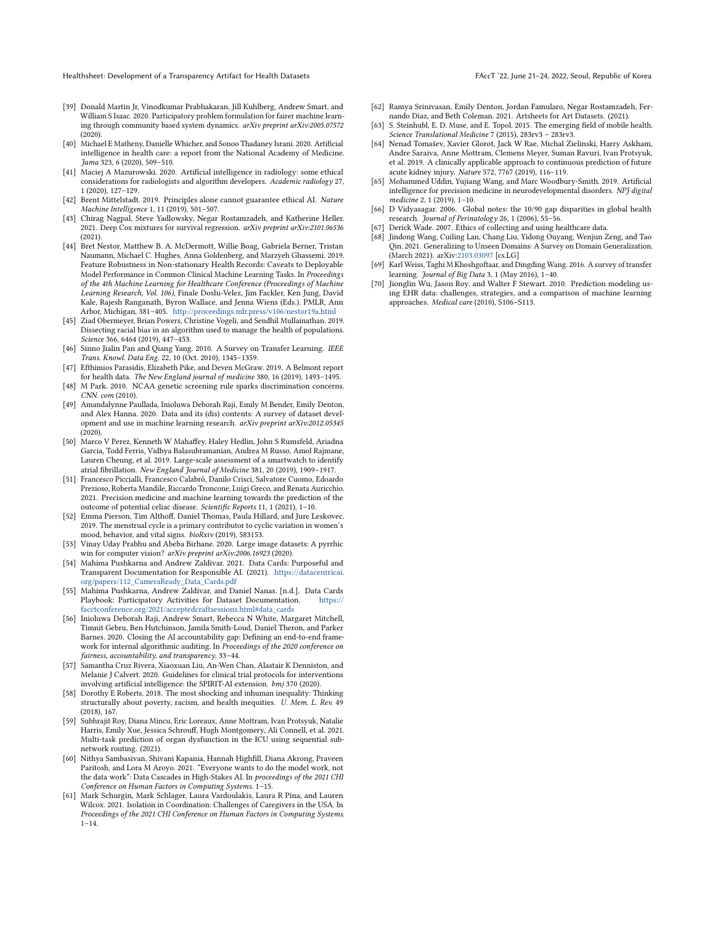- <span id="page-10-18"></span>[39] Donald Martin Jr, Vinodkumar Prabhakaran, Jill Kuhlberg, Andrew Smart, and William S Isaac. 2020. Participatory problem formulation for fairer machine learning through community based system dynamics. arXiv preprint arXiv:2005.07572 (2020).
- <span id="page-10-0"></span>[40] Michael E Matheny, Danielle Whicher, and Sonoo Thadaney Israni. 2020. Artificial intelligence in health care: a report from the National Academy of Medicine. Jama 323, 6 (2020), 509–510.
- <span id="page-10-7"></span>[41] Maciej A Mazurowski. 2020. Artificial intelligence in radiology: some ethical considerations for radiologists and algorithm developers. Academic radiology 27, 1 (2020), 127–129.
- <span id="page-10-11"></span>[42] Brent Mittelstadt. 2019. Principles alone cannot guarantee ethical AI. Nature Machine Intelligence 1, 11 (2019), 501–507.
- <span id="page-10-6"></span>[43] Chirag Nagpal, Steve Yadlowsky, Negar Rostamzadeh, and Katherine Heller. 2021. Deep Cox mixtures for survival regression. arXiv preprint arXiv:2101.06536 (2021).
- <span id="page-10-30"></span>[44] Bret Nestor, Matthew B. A. McDermott, Willie Boag, Gabriela Berner, Tristan Naumann, Michael C. Hughes, Anna Goldenberg, and Marzyeh Ghassemi. 2019. Feature Robustness in Non-stationary Health Records: Caveats to Deployable Model Performance in Common Clinical Machine Learning Tasks. In Proceedings of the 4th Machine Learning for Healthcare Conference (Proceedings of Machine Learning Research, Vol. 106), Finale Doshi-Velez, Jim Fackler, Ken Jung, David Kale, Rajesh Ranganath, Byron Wallace, and Jenna Wiens (Eds.). PMLR, Ann Arbor, Michigan, 381–405. <http://proceedings.mlr.press/v106/nestor19a.html>
- <span id="page-10-12"></span>[45] Ziad Obermeyer, Brian Powers, Christine Vogeli, and Sendhil Mullainathan. 2019. Dissecting racial bias in an algorithm used to manage the health of populations. Science 366, 6464 (2019), 447–453.
- <span id="page-10-27"></span>[46] Sinno Jialin Pan and Qiang Yang. 2010. A Survey on Transfer Learning. IEEE Trans. Knowl. Data Eng. 22, 10 (Oct. 2010), 1345–1359.
- <span id="page-10-10"></span>[47] Efthimios Parasidis, Elizabeth Pike, and Deven McGraw. 2019. A Belmont report for health data. The New England journal of medicine 380, 16 (2019), 1493-1495.
- <span id="page-10-21"></span>[48] M Park. 2010. NCAA genetic screening rule sparks discrimination concerns. CNN. com (2010).
- <span id="page-10-13"></span>[49] Amandalynne Paullada, Inioluwa Deborah Raji, Emily M Bender, Emily Denton, and Alex Hanna. 2020. Data and its (dis) contents: A survey of dataset development and use in machine learning research. arXiv preprint arXiv:2012.05345 (2020).
- <span id="page-10-1"></span>[50] Marco V Perez, Kenneth W Mahaffey, Haley Hedlin, John S Rumsfeld, Ariadna Garcia, Todd Ferris, Vidhya Balasubramanian, Andrea M Russo, Amol Rajmane, Lauren Cheung, et al. 2019. Large-scale assessment of a smartwatch to identify atrial fibrillation. New England Journal of Medicine 381, 20 (2019), 1909–1917.
- <span id="page-10-4"></span>[51] Francesco Piccialli, Francesco Calabrò, Danilo Crisci, Salvatore Cuomo, Edoardo Prezioso, Roberta Mandile, Riccardo Troncone, Luigi Greco, and Renata Auricchio. 2021. Precision medicine and machine learning towards the prediction of the outcome of potential celiac disease. Scientific Reports 11, 1 (2021), 1–10.
- <span id="page-10-22"></span>[52] Emma Pierson, Tim Althoff, Daniel Thomas, Paula Hillard, and Jure Leskovec. 2019. The menstrual cycle is a primary contributor to cyclic variation in women's mood, behavior, and vital signs. bioRxiv (2019), 583153.
- <span id="page-10-8"></span>[53] Vinay Uday Prabhu and Abeba Birhane. 2020. Large image datasets: A pyrrhic win for computer vision? arXiv preprint arXiv:2006.16923 (2020).
- <span id="page-10-16"></span>[54] Mahima Pushkarna and Andrew Zaldivar. 2021. Data Cards: Purposeful and Transparent Documentation for Responsible AI. (2021). [https://datacentricai.](https://datacentricai.org/papers/112_CameraReady_Data_Cards.pdf) [org/papers/112\\_CameraReady\\_Data\\_Cards.pdf](https://datacentricai.org/papers/112_CameraReady_Data_Cards.pdf)
- <span id="page-10-20"></span>[55] Mahima Pushkarna, Andrew Zaldivar, and Daniel Nanas. [n.d.]. Data Cards Playbook: Participatory Activities for Dataset Documentation. [https://](https://facctconference.org/2021/acceptedcraftsessions.html#data_cards) [facctconference.org/2021/acceptedcraftsessions.html#data\\_cards](https://facctconference.org/2021/acceptedcraftsessions.html#data_cards)
- <span id="page-10-14"></span>[56] Inioluwa Deborah Raji, Andrew Smart, Rebecca N White, Margaret Mitchell, Timnit Gebru, Ben Hutchinson, Jamila Smith-Loud, Daniel Theron, and Parker Barnes. 2020. Closing the AI accountability gap: Defining an end-to-end framework for internal algorithmic auditing. In Proceedings of the 2020 conference on fairness, accountability, and transparency. 33–44.
- <span id="page-10-17"></span>[57] Samantha Cruz Rivera, Xiaoxuan Liu, An-Wen Chan, Alastair K Denniston, and Melanie J Calvert. 2020. Guidelines for clinical trial protocols for interventions involving artificial intelligence: the SPIRIT-AI extension. bmj 370 (2020).
- <span id="page-10-26"></span>[58] Dorothy E Roberts. 2018. The most shocking and inhuman inequality: Thinking structurally about poverty, racism, and health inequities. U. Mem. L. Rev. 49 (2018), 167.
- <span id="page-10-31"></span>Subhrajit Roy, Diana Mincu, Eric Loreaux, Anne Mottram, Ivan Protsyuk, Natalie Harris, Emily Xue, Jessica Schrouff, Hugh Montgomery, Ali Connell, et al. 2021. Multi-task prediction of organ dysfunction in the ICU using sequential subnetwork routing. (2021).
- <span id="page-10-9"></span>[60] Nithya Sambasivan, Shivani Kapania, Hannah Highfill, Diana Akrong, Praveen Paritosh, and Lora M Aroyo. 2021. "Everyone wants to do the model work, not the data work": Data Cascades in High-Stakes AI. In proceedings of the 2021 CHI Conference on Human Factors in Computing Systems. 1–15.
- <span id="page-10-19"></span>[61] Mark Schurgin, Mark Schlager, Laura Vardoulakis, Laura R Pina, and Lauren Wilcox. 2021. Isolation in Coordination: Challenges of Caregivers in the USA. In Proceedings of the 2021 CHI Conference on Human Factors in Computing Systems.  $1 - 14.$
- <span id="page-10-15"></span>[62] Ramya Srinivasan, Emily Denton, Jordan Famularo, Negar Rostamzadeh, Fernando Diaz, and Beth Coleman. 2021. Artsheets for Art Datasets. (2021).
- <span id="page-10-24"></span>[63] S. Steinhubl, E. D. Muse, and E. Topol. 2015. The emerging field of mobile health. Science Translational Medicine 7 (2015), 283rv3 – 283rv3.
- <span id="page-10-2"></span>[64] Nenad Tomašev, Xavier Glorot, Jack W Rae, Michal Zielinski, Harry Askham, Andre Saraiva, Anne Mottram, Clemens Meyer, Suman Ravuri, Ivan Protsyuk, et al. 2019. A clinically applicable approach to continuous prediction of future acute kidney injury. Nature 572, 7767 (2019), 116–119.
- <span id="page-10-5"></span>[65] Mohammed Uddin, Yujiang Wang, and Marc Woodbury-Smith. 2019. Artificial intelligence for precision medicine in neurodevelopmental disorders. NPJ digital medicine 2, 1 (2019), 1–10.
- <span id="page-10-23"></span>[66] D Vidyasagar. 2006. Global notes: the 10/90 gap disparities in global health research. Journal of Perinatology 26, 1 (2006), 55–56.
- <span id="page-10-25"></span>[67] Derick Wade. 2007. Ethics of collecting and using healthcare data
- <span id="page-10-28"></span>[68] Jindong Wang, Cuiling Lan, Chang Liu, Yidong Ouyang, Wenjun Zeng, and Tao Qin. 2021. Generalizing to Unseen Domains: A Survey on Domain Generalization. (March 2021). arXiv[:2103.03097](https://arxiv.org/abs/2103.03097) [cs.LG]
- <span id="page-10-29"></span>[69] Karl Weiss, Taghi M Khoshgoftaar, and Dingding Wang. 2016. A survey of transfer learning. Journal of Big Data 3, 1 (May 2016), 1–40.
- <span id="page-10-3"></span>[70] Jionglin Wu, Jason Roy, and Walter F Stewart. 2010. Prediction modeling using EHR data: challenges, strategies, and a comparison of machine learning approaches. Medical care (2010), S106–S113.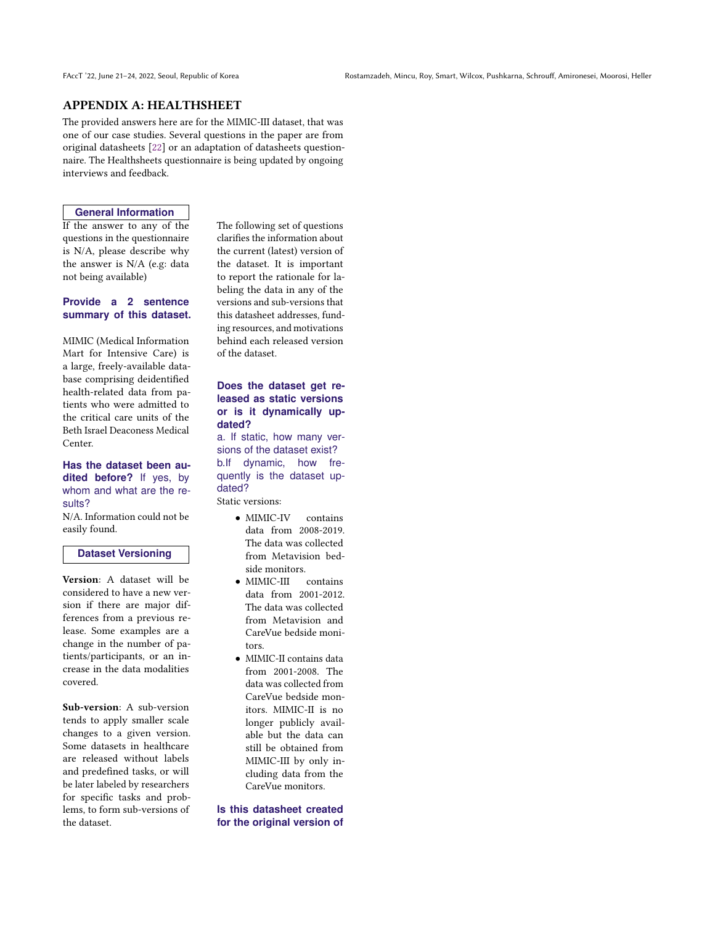# APPENDIX A: HEALTHSHEET

The provided answers here are for the MIMIC-III dataset, that was one of our case studies. Several questions in the paper are from original datasheets [\[22\]](#page-9-0) or an adaptation of datasheets questionnaire. The Healthsheets questionnaire is being updated by ongoing interviews and feedback.

#### **General Information**

If the answer to any of the questions in the questionnaire is N/A, please describe why the answer is N/A (e.g: data not being available)

### **Provide a 2 sentence summary of this dataset.**

MIMIC (Medical Information Mart for Intensive Care) is a large, freely-available database comprising deidentified health-related data from patients who were admitted to the critical care units of the Beth Israel Deaconess Medical Center.

#### **Has the dataset been audited before?** If yes, by whom and what are the results?

N/A. Information could not be easily found.

### **Dataset Versioning**

Version: A dataset will be considered to have a new version if there are major differences from a previous release. Some examples are a change in the number of patients/participants, or an increase in the data modalities covered.

Sub-version: A sub-version tends to apply smaller scale changes to a given version. Some datasets in healthcare are released without labels and predefined tasks, or will be later labeled by researchers for specific tasks and problems, to form sub-versions of the dataset.

The following set of questions clarifies the information about the current (latest) version of the dataset. It is important to report the rationale for labeling the data in any of the versions and sub-versions that this datasheet addresses, funding resources, and motivations behind each released version of the dataset.

#### **Does the dataset get released as static versions or is it dynamically updated?**

a. If static, how many versions of the dataset exist? b.If dynamic, how frequently is the dataset updated?

Static versions:

- MIMIC-IV contains data from 2008-2019. The data was collected from Metavision bedside monitors.
- MIMIC-III contains data from 2001-2012. The data was collected from Metavision and CareVue bedside monitors.
- MIMIC-II contains data from 2001-2008. The data was collected from CareVue bedside monitors. MIMIC-II is no longer publicly available but the data can still be obtained from MIMIC-III by only including data from the CareVue monitors.

#### **Is this datasheet created for the original version of**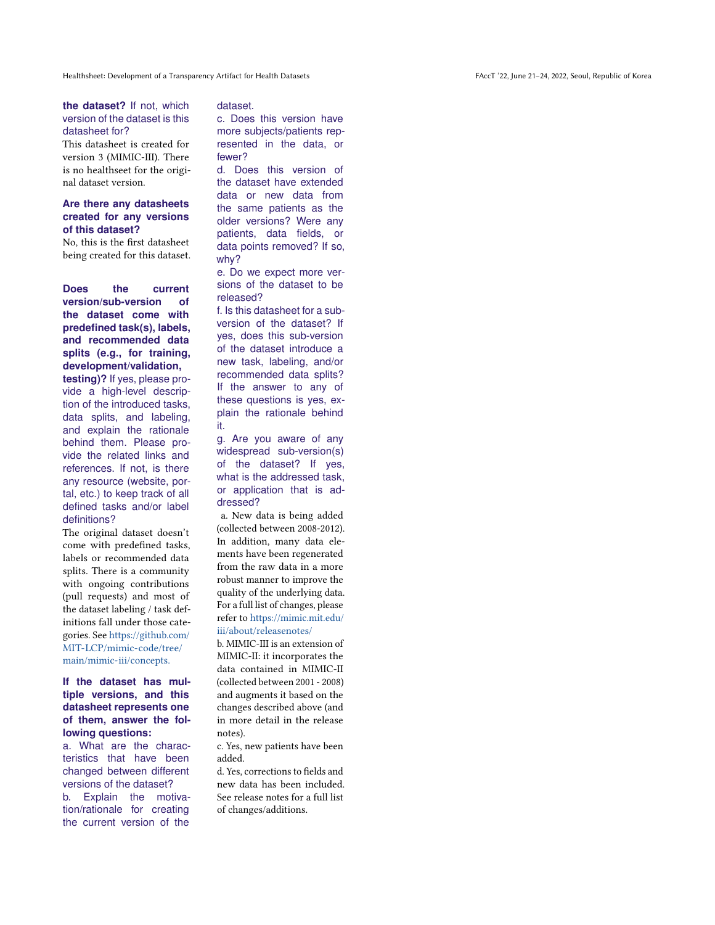#### **the dataset?** If not, which version of the dataset is this datasheet for?

This datasheet is created for version 3 (MIMIC-III). There is no healthseet for the original dataset version.

### **Are there any datasheets created for any versions of this dataset?**

No, this is the first datasheet being created for this dataset.

**Does the current version/sub-version of the dataset come with predefined task(s), labels, and recommended data splits (e.g., for training, development/validation,**

**testing)?** If yes, please provide a high-level description of the introduced tasks, data splits, and labeling, and explain the rationale behind them. Please provide the related links and references. If not, is there any resource (website, portal, etc.) to keep track of all defined tasks and/or label definitions?

The original dataset doesn't come with predefined tasks, labels or recommended data splits. There is a community with ongoing contributions (pull requests) and most of the dataset labeling / task definitions fall under those categories. See [https://github.com/](https://github.com/MIT-LCP/mimic-code/tree/main/mimic-iii/concepts.) [MIT-LCP/mimic-code/tree/](https://github.com/MIT-LCP/mimic-code/tree/main/mimic-iii/concepts.) [main/mimic-iii/concepts.](https://github.com/MIT-LCP/mimic-code/tree/main/mimic-iii/concepts.)

**If the dataset has multiple versions, and this datasheet represents one of them, answer the following questions:**

a. What are the characteristics that have been changed between different versions of the dataset?

b. Explain the motivation/rationale for creating the current version of the

#### dataset.

c. Does this version have more subjects/patients represented in the data, or fewer?

d. Does this version of the dataset have extended data or new data from the same patients as the older versions? Were any patients, data fields, or data points removed? If so, why?

e. Do we expect more versions of the dataset to be released?

f. Is this datasheet for a subversion of the dataset? If yes, does this sub-version of the dataset introduce a new task, labeling, and/or recommended data splits? If the answer to any of these questions is yes, explain the rationale behind it.

g. Are you aware of any widespread sub-version(s) of the dataset? If yes, what is the addressed task, or application that is addressed?

a. New data is being added (collected between 2008-2012). In addition, many data elements have been regenerated from the raw data in a more robust manner to improve the quality of the underlying data. For a full list of changes, please refer to [https://mimic.mit.edu/](https://mimic.mit.edu/iii/about/releasenotes/) [iii/about/releasenotes/](https://mimic.mit.edu/iii/about/releasenotes/)

b. MIMIC-III is an extension of MIMIC-II: it incorporates the data contained in MIMIC-II (collected between 2001 - 2008) and augments it based on the changes described above (and in more detail in the release notes).

c. Yes, new patients have been added.

d. Yes, corrections to fields and new data has been included. See release notes for a full list of changes/additions.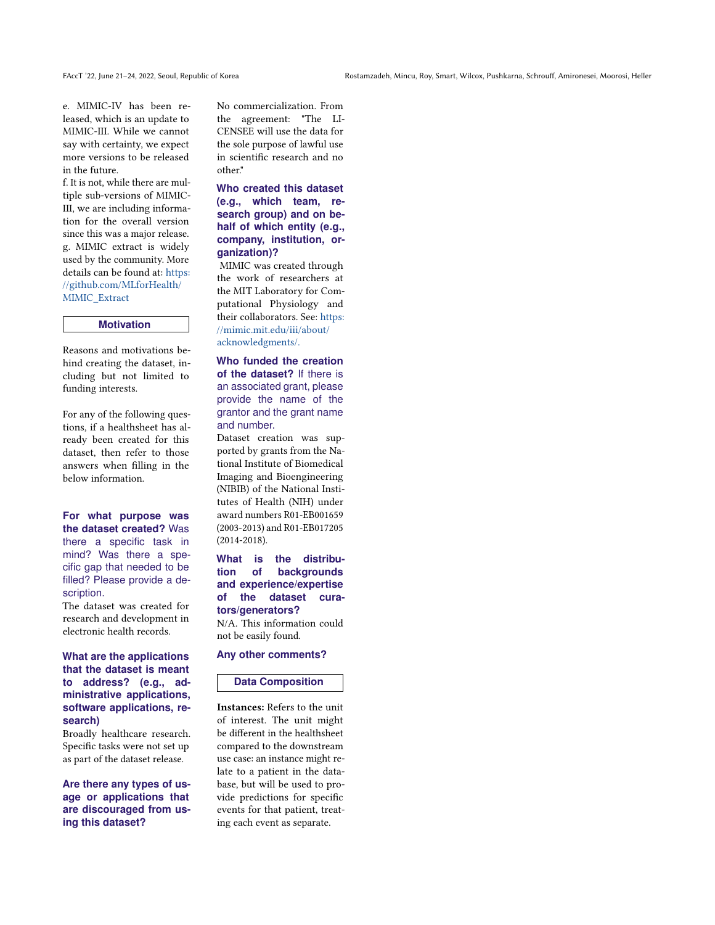e. MIMIC-IV has been released, which is an update to MIMIC-III. While we cannot say with certainty, we expect more versions to be released in the future.

f. It is not, while there are multiple sub-versions of MIMIC-III, we are including information for the overall version since this was a major release. g. MIMIC extract is widely used by the community. More details can be found at: [https:](https://github.com/MLforHealth/MIMIC_Extract) [//github.com/MLforHealth/](https://github.com/MLforHealth/MIMIC_Extract) [MIMIC\\_Extract](https://github.com/MLforHealth/MIMIC_Extract)

#### **Motivation**

Reasons and motivations behind creating the dataset, including but not limited to funding interests.

For any of the following questions, if a healthsheet has already been created for this dataset, then refer to those answers when filling in the below information.

**For what purpose was the dataset created?** Was there a specific task in mind? Was there a specific gap that needed to be filled? Please provide a description.

The dataset was created for research and development in electronic health records.

#### **What are the applications that the dataset is meant to address? (e.g., administrative applications, software applications, research)**

Broadly healthcare research. Specific tasks were not set up as part of the dataset release.

**Are there any types of usage or applications that are discouraged from using this dataset?**

No commercialization. From the agreement: "The LI-CENSEE will use the data for the sole purpose of lawful use in scientific research and no other."

**Who created this dataset (e.g., which team, research group) and on behalf of which entity (e.g., company, institution, organization)?**

MIMIC was created through the work of researchers at the MIT Laboratory for Computational Physiology and their collaborators. See: [https:](https://mimic.mit.edu/iii/about/acknowledgments/.) [//mimic.mit.edu/iii/about/](https://mimic.mit.edu/iii/about/acknowledgments/.) [acknowledgments/.](https://mimic.mit.edu/iii/about/acknowledgments/.)

**Who funded the creation of the dataset?** If there is an associated grant, please provide the name of the grantor and the grant name and number.

Dataset creation was supported by grants from the National Institute of Biomedical Imaging and Bioengineering (NIBIB) of the National Institutes of Health (NIH) under award numbers R01-EB001659 (2003-2013) and R01-EB017205 (2014-2018).

**What is the distribution of backgrounds and experience/expertise of the dataset curators/generators?** N/A. This information could not be easily found.

**Any other comments?**

#### **Data Composition**

Instances: Refers to the unit of interest. The unit might be different in the healthsheet compared to the downstream use case: an instance might relate to a patient in the database, but will be used to provide predictions for specific events for that patient, treating each event as separate.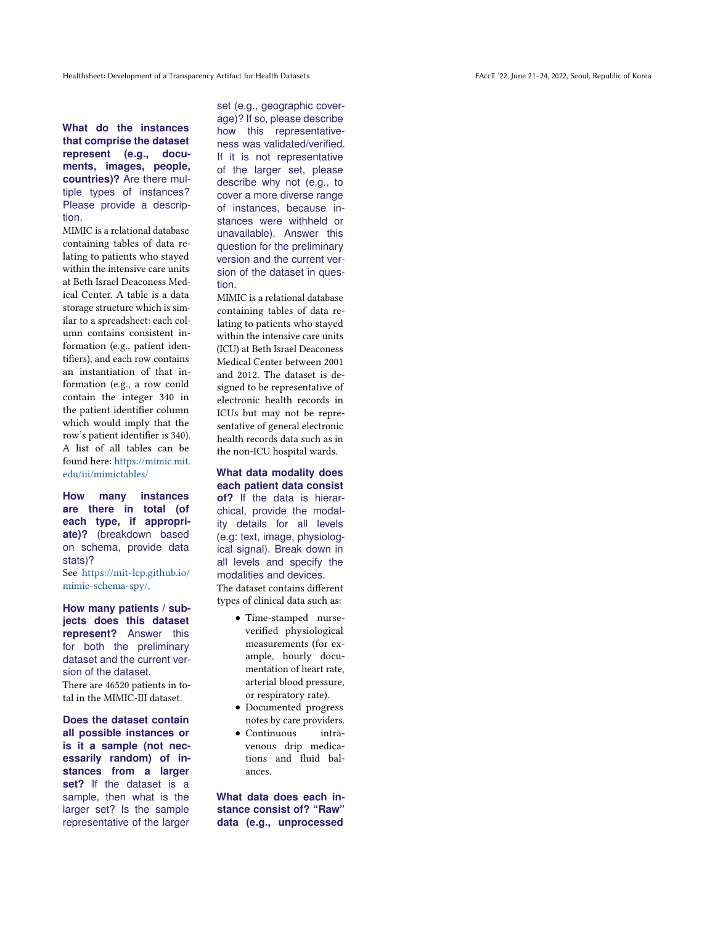**What do the instances that comprise the dataset represent (e.g., documents, images, people, countries)?** Are there multiple types of instances? Please provide a description.

MIMIC is a relational database containing tables of data relating to patients who stayed within the intensive care units at Beth Israel Deaconess Medical Center. A table is a data storage structure which is similar to a spreadsheet: each column contains consistent information (e.g., patient identifiers), and each row contains an instantiation of that information (e.g., a row could contain the integer 340 in the patient identifier column which would imply that the row's patient identifier is 340). A list of all tables can be found here: [https://mimic.mit.](https://mimic.mit.edu/iii/mimictables/) [edu/iii/mimictables/](https://mimic.mit.edu/iii/mimictables/)

**How many instances are there in total (of each type, if appropriate)?** (breakdown based on schema, provide data stats)? See [https://mit-lcp.github.io/](https://mit-lcp.github.io/mimic-schema-spy/) [mimic-schema-spy/.](https://mit-lcp.github.io/mimic-schema-spy/)

**How many patients / subjects does this dataset represent?** Answer this for both the preliminary dataset and the current version of the dataset.

There are 46520 patients in total in the MIMIC-III dataset.

**Does the dataset contain all possible instances or is it a sample (not necessarily random) of instances from a larger set?** If the dataset is a sample, then what is the larger set? Is the sample representative of the larger

set (e.g., geographic coverage)? If so, please describe how this representativeness was validated/verified. If it is not representative of the larger set, please describe why not (e.g., to cover a more diverse range of instances, because instances were withheld or unavailable). Answer this question for the preliminary version and the current version of the dataset in question.

MIMIC is a relational database containing tables of data relating to patients who stayed within the intensive care units (ICU) at Beth Israel Deaconess Medical Center between 2001 and 2012. The dataset is designed to be representative of electronic health records in ICUs but may not be representative of general electronic health records data such as in the non-ICU hospital wards.

**What data modality does each patient data consist of?** If the data is hierarchical, provide the modality details for all levels (e.g: text, image, physiological signal). Break down in all levels and specify the modalities and devices. The dataset contains different types of clinical data such as:

- Time-stamped nurseverified physiological measurements (for example, hourly documentation of heart rate, arterial blood pressure, or respiratory rate).
- Documented progress notes by care providers.
- Continuous intravenous drip medications and fluid balances.

**What data does each instance consist of? "Raw" data (e.g., unprocessed**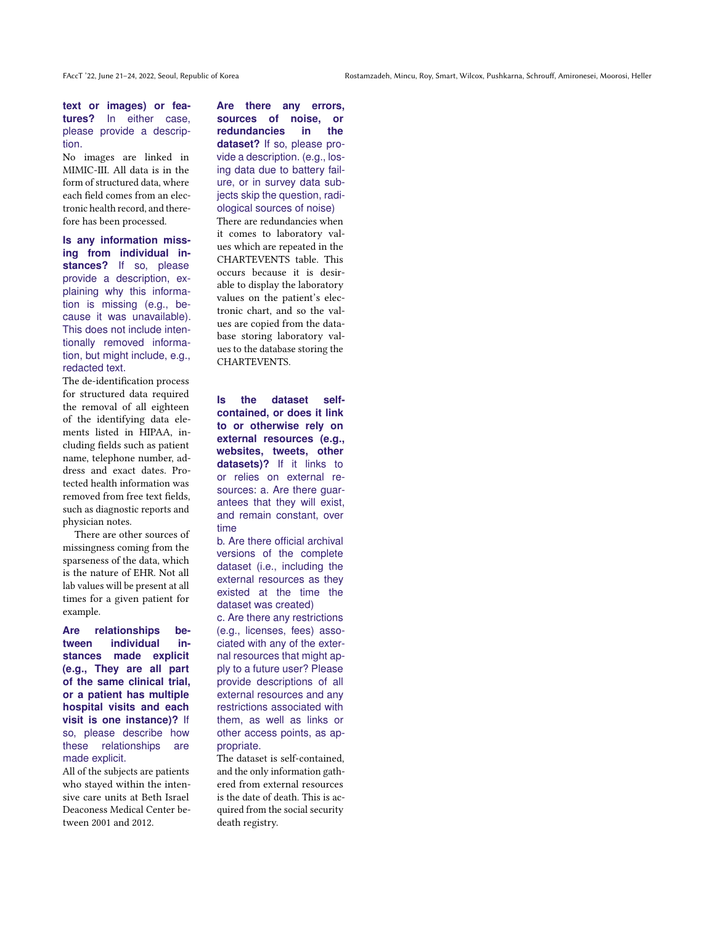**text or images) or features?** In either case, please provide a description.

No images are linked in MIMIC-III. All data is in the form of structured data, where each field comes from an electronic health record, and therefore has been processed.

**Is any information missing from individual in**stances? If so, please provide a description, explaining why this information is missing (e.g., because it was unavailable). This does not include intentionally removed information, but might include, e.g., redacted text.

The de-identification process for structured data required the removal of all eighteen of the identifying data elements listed in HIPAA, including fields such as patient name, telephone number, address and exact dates. Protected health information was removed from free text fields, such as diagnostic reports and physician notes.

There are other sources of missingness coming from the sparseness of the data, which is the nature of EHR. Not all lab values will be present at all times for a given patient for example.

**Are relationships between individual instances made explicit (e.g., They are all part of the same clinical trial, or a patient has multiple hospital visits and each visit is one instance)?** If so, please describe how these relationships are made explicit.

All of the subjects are patients who stayed within the intensive care units at Beth Israel Deaconess Medical Center between 2001 and 2012.

**Are there any errors, sources of noise, or redundancies in the dataset?** If so, please provide a description. (e.g., losing data due to battery failure, or in survey data subjects skip the question, radiological sources of noise) There are redundancies when it comes to laboratory values which are repeated in the CHARTEVENTS table. This occurs because it is desirable to display the laboratory values on the patient's electronic chart, and so the values are copied from the database storing laboratory val-

**Is the dataset selfcontained, or does it link to or otherwise rely on external resources (e.g., websites, tweets, other datasets)?** If it links to or relies on external resources: a. Are there guarantees that they will exist, and remain constant, over time

ues to the database storing the

CHARTEVENTS.

b. Are there official archival versions of the complete dataset (i.e., including the external resources as they existed at the time the dataset was created)

c. Are there any restrictions (e.g., licenses, fees) associated with any of the external resources that might apply to a future user? Please provide descriptions of all external resources and any restrictions associated with them, as well as links or other access points, as appropriate.

The dataset is self-contained, and the only information gathered from external resources is the date of death. This is acquired from the social security death registry.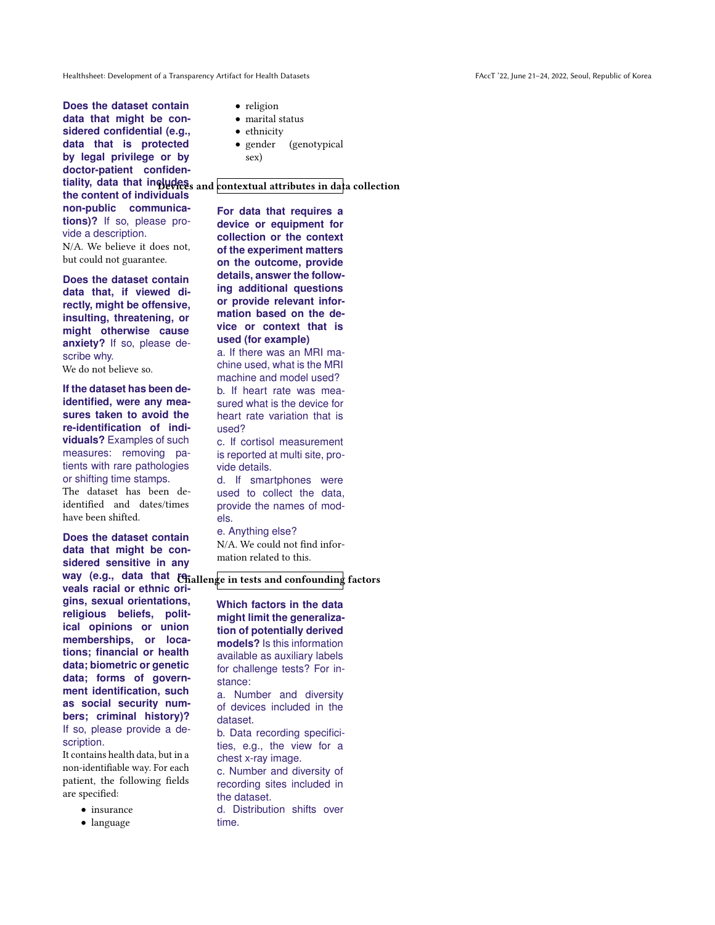**Does the dataset contain data that might be considered confidential (e.g., data that is protected by legal privilege or by doctor-patient confidenthe content of individuals non-public communications)?** If so, please provide a description. N/A. We believe it does not, but could not guarantee.

**Does the dataset contain data that, if viewed directly, might be offensive, insulting, threatening, or might otherwise cause anxiety?** If so, please describe why.

We do not believe so.

**If the dataset has been deidentified, were any measures taken to avoid the re-identification of individuals?** Examples of such measures: removing patients with rare pathologies or shifting time stamps. The dataset has been deidentified and dates/times have been shifted.

**Does the dataset contain data that might be considered sensitive in any** way (e.g., data that *t*enallenge in tests and confounding factors **veals racial or ethnic origins, sexual orientations, religious beliefs, political opinions or union memberships, or locations; financial or health data; biometric or genetic data; forms of government identification, such as social security numbers; criminal history)?** If so, please provide a description.

It contains health data, but in a non-identifiable way. For each patient, the following fields are specified:

- insurance
- language
- religion
- marital status
- ethnicity
- gender (genotypical sex)

tiality, data that includes and contextual attributes in data collection

**For data that requires a device or equipment for collection or the context of the experiment matters on the outcome, provide details, answer the following additional questions or provide relevant information based on the device or context that is used (for example)**

a. If there was an MRI machine used, what is the MRI machine and model used? b. If heart rate was measured what is the device for heart rate variation that is used?

c. If cortisol measurement is reported at multi site, provide details.

d. If smartphones were used to collect the data, provide the names of models.

e. Anything else? N/A. We could not find information related to this.

**Which factors in the data might limit the generalization of potentially derived models?** Is this information available as auxiliary labels for challenge tests? For instance:

a. Number and diversity of devices included in the dataset.

b. Data recording specificities, e.g., the view for a chest x-ray image.

c. Number and diversity of recording sites included in the dataset.

d. Distribution shifts over time.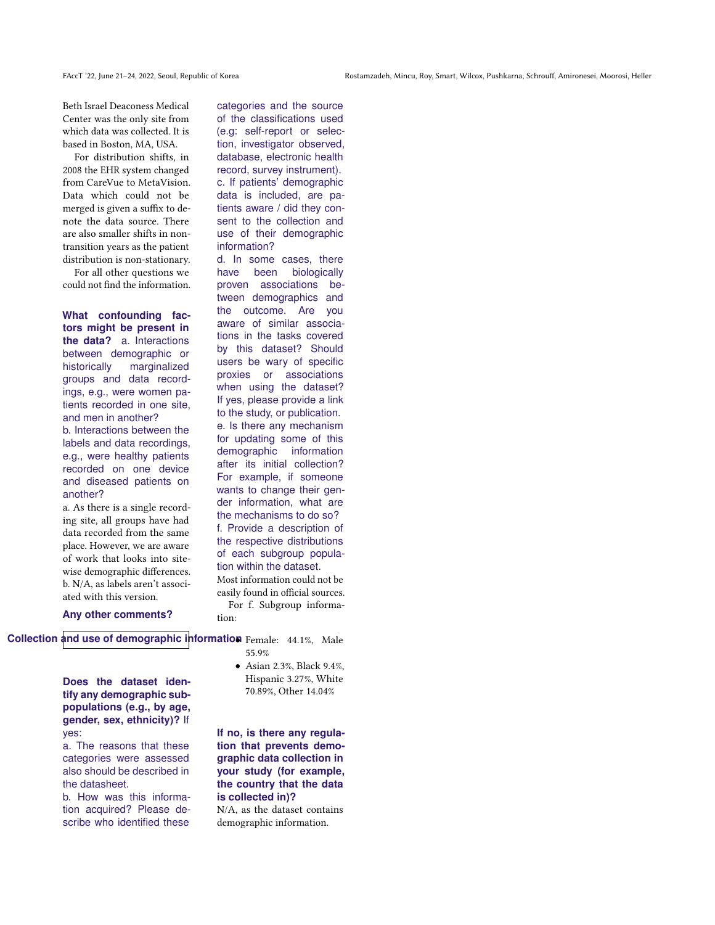Beth Israel Deaconess Medical Center was the only site from which data was collected. It is based in Boston, MA, USA.

For distribution shifts, in 2008 the EHR system changed from CareVue to MetaVision. Data which could not be merged is given a suffix to denote the data source. There are also smaller shifts in nontransition years as the patient distribution is non-stationary.

For all other questions we could not find the information.

**What confounding factors might be present in the data?** a. Interactions between demographic or historically marginalized groups and data recordings, e.g., were women patients recorded in one site, and men in another?

b. Interactions between the labels and data recordings, e.g., were healthy patients recorded on one device and diseased patients on another?

a. As there is a single recording site, all groups have had data recorded from the same place. However, we are aware of work that looks into sitewise demographic differences. b. N/A, as labels aren't associated with this version.

categories and the source of the classifications used (e.g: self-report or selection, investigator observed, database, electronic health record, survey instrument). c. If patients' demographic data is included, are patients aware / did they consent to the collection and use of their demographic information?

d. In some cases, there have been biologically proven associations between demographics and the outcome. Are you aware of similar associations in the tasks covered by this dataset? Should users be wary of specific proxies or associations when using the dataset? If yes, please provide a link to the study, or publication. e. Is there any mechanism for updating some of this demographic information after its initial collection? For example, if someone wants to change their gender information, what are the mechanisms to do so? f. Provide a description of the respective distributions of each subgroup population within the dataset. Most information could not be easily found in official sources. For f. Subgroup informa-

**Any other comments?**

**Collection and use of demographic information** Female: 44.1%, Male

tion:

**Does the dataset identify any demographic subpopulations (e.g., by age, gender, sex, ethnicity)?** If yes:

a. The reasons that these categories were assessed also should be described in the datasheet.

b. How was this information acquired? Please describe who identified these

55.9% • Asian 2.3%, Black 9.4%, Hispanic 3.27%, White

70.89%, Other 14.04%

**If no, is there any regulation that prevents demographic data collection in your study (for example, the country that the data is collected in)?**

N/A, as the dataset contains demographic information.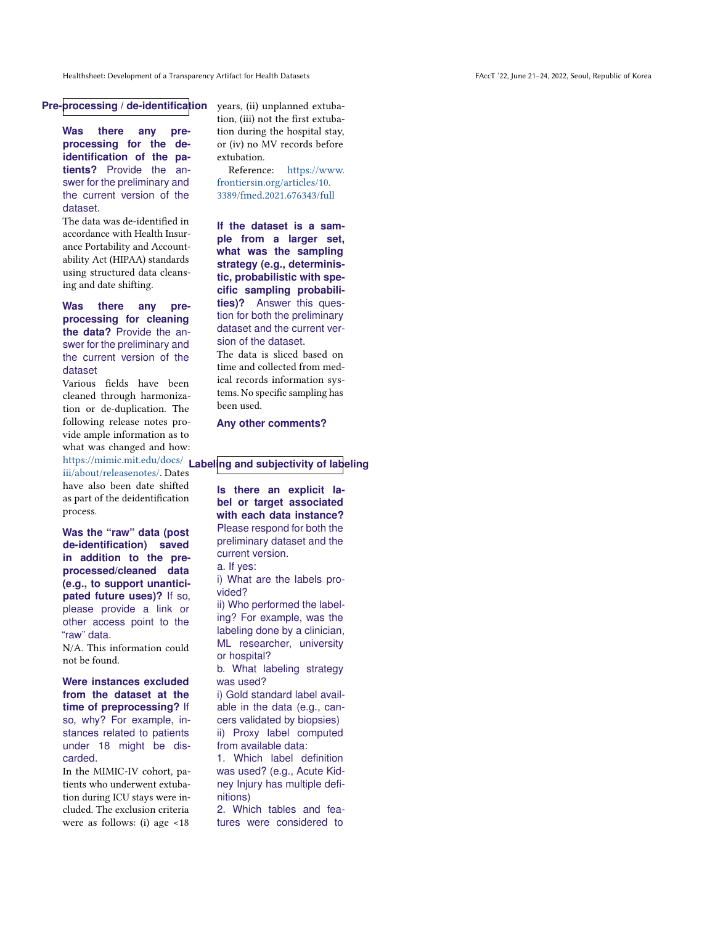**Pre-processing / de-identification**

**Was there any preprocessing for the deidentification of the patients?** Provide the answer for the preliminary and the current version of the dataset.

The data was de-identified in accordance with Health Insurance Portability and Accountability Act (HIPAA) standards using structured data cleansing and date shifting.

**Was there any preprocessing for cleaning the data?** Provide the answer for the preliminary and the current version of the dataset

Various fields have been cleaned through harmonization or de-duplication. The following release notes provide ample information as to what was changed and how:

[iii/about/releasenotes/.](https://mimic.mit.edu/docs/iii/about/releasenotes/) Dates have also been date shifted as part of the deidentification process.

**Was the "raw" data (post de-identification) saved in addition to the preprocessed/cleaned data (e.g., to support unanticipated future uses)?** If so, please provide a link or other access point to the "raw" data.

N/A. This information could not be found.

**Were instances excluded from the dataset at the time of preprocessing?** If so, why? For example, instances related to patients under 18 might be discarded.

In the MIMIC-IV cohort, patients who underwent extubation during ICU stays were included. The exclusion criteria were as follows: (i) age <18

years, (ii) unplanned extubation, (iii) not the first extubation during the hospital stay, or (iv) no MV records before extubation.

Reference: [https://www.](https://www.frontiersin.org/articles/10.3389/fmed.2021.676343/full) [frontiersin.org/articles/10.](https://www.frontiersin.org/articles/10.3389/fmed.2021.676343/full) [3389/fmed.2021.676343/full](https://www.frontiersin.org/articles/10.3389/fmed.2021.676343/full)

**If the dataset is a sample from a larger set, what was the sampling strategy (e.g., deterministic, probabilistic with specific sampling probabilities)?** Answer this question for both the preliminary dataset and the current version of the dataset.

The data is sliced based on time and collected from medical records information systems. No specific sampling has been used.

**Any other comments?**

# [https://mimic.mit.edu/docs/](https://mimic.mit.edu/docs/iii/about/releasenotes/) **Labeling and subjectivity of labeling**

**Is there an explicit label or target associated with each data instance?** Please respond for both the preliminary dataset and the current version. a. If yes: i) What are the labels provided? ii) Who performed the label-

ing? For example, was the labeling done by a clinician, ML researcher, university or hospital?

b. What labeling strategy was used?

i) Gold standard label available in the data (e.g., cancers validated by biopsies) ii) Proxy label computed from available data:

1. Which label definition was used? (e.g., Acute Kidney Injury has multiple definitions)

2. Which tables and features were considered to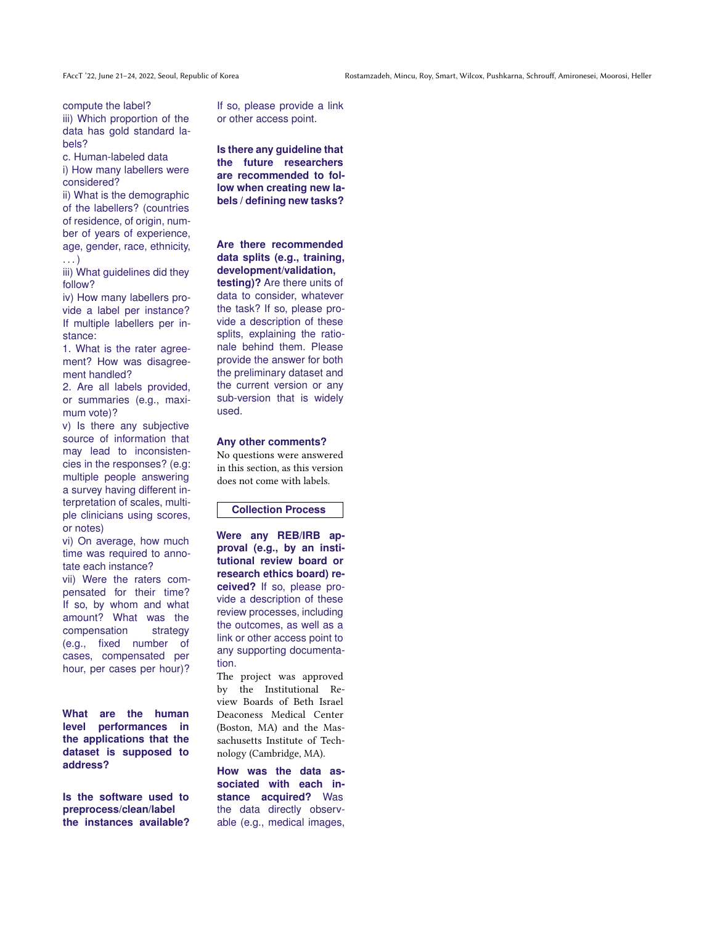compute the label?

iii) Which proportion of the data has gold standard labels?

c. Human-labeled data

i) How many labellers were considered?

ii) What is the demographic of the labellers? (countries of residence, of origin, number of years of experience, age, gender, race, ethnicity, . . . )

iii) What guidelines did they follow?

iv) How many labellers provide a label per instance? If multiple labellers per instance:

1. What is the rater agreement? How was disagreement handled?

2. Are all labels provided, or summaries (e.g., maximum vote)?

v) Is there any subjective source of information that may lead to inconsistencies in the responses? (e.g: multiple people answering a survey having different interpretation of scales, multiple clinicians using scores, or notes)

vi) On average, how much time was required to annotate each instance?

vii) Were the raters compensated for their time? If so, by whom and what amount? What was the compensation strategy (e.g., fixed number of cases, compensated per hour, per cases per hour)?

**What are the human level performances in the applications that the dataset is supposed to address?**

**Is the software used to preprocess/clean/label the instances available?** If so, please provide a link or other access point.

**Is there any guideline that the future researchers are recommended to follow when creating new labels / defining new tasks?**

**Are there recommended data splits (e.g., training, development/validation,**

**testing)?** Are there units of data to consider, whatever the task? If so, please provide a description of these splits, explaining the rationale behind them. Please provide the answer for both the preliminary dataset and the current version or any sub-version that is widely used.

#### **Any other comments?**

No questions were answered in this section, as this version does not come with labels.

#### **Collection Process**

**Were any REB/IRB approval (e.g., by an institutional review board or research ethics board) received?** If so, please provide a description of these review processes, including the outcomes, as well as a link or other access point to any supporting documentation.

The project was approved by the Institutional Review Boards of Beth Israel Deaconess Medical Center (Boston, MA) and the Massachusetts Institute of Technology (Cambridge, MA).

**How was the data associated with each instance acquired?** Was the data directly observable (e.g., medical images,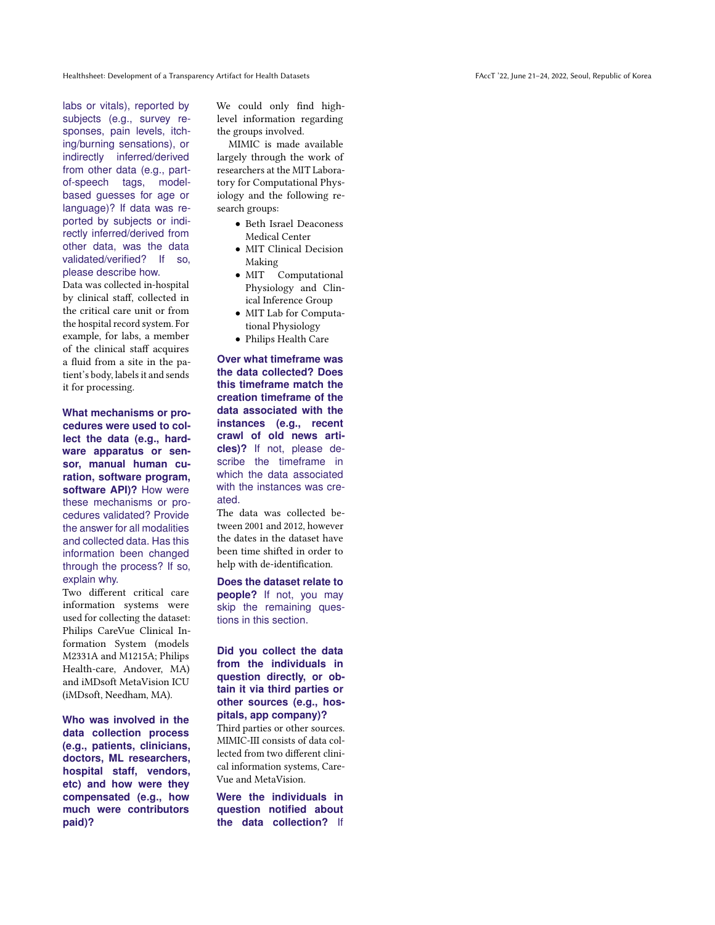labs or vitals), reported by subjects (e.g., survey responses, pain levels, itching/burning sensations), or indirectly inferred/derived from other data (e.g., partof-speech tags, modelbased guesses for age or language)? If data was reported by subjects or indirectly inferred/derived from other data, was the data validated/verified? If so, please describe how.

Data was collected in-hospital by clinical staff, collected in the critical care unit or from the hospital record system. For example, for labs, a member of the clinical staff acquires a fluid from a site in the patient's body, labels it and sends it for processing.

**What mechanisms or procedures were used to collect the data (e.g., hardware apparatus or sensor, manual human curation, software program, software API)?** How were these mechanisms or procedures validated? Provide the answer for all modalities and collected data. Has this information been changed through the process? If so, explain why.

Two different critical care information systems were used for collecting the dataset: Philips CareVue Clinical Information System (models M2331A and M1215A; Philips Health-care, Andover, MA) and iMDsoft MetaVision ICU (iMDsoft, Needham, MA).

**Who was involved in the data collection process (e.g., patients, clinicians, doctors, ML researchers, hospital staff, vendors, etc) and how were they compensated (e.g., how much were contributors paid)?**

We could only find highlevel information regarding the groups involved.

MIMIC is made available largely through the work of researchers at the MIT Laboratory for Computational Physiology and the following research groups:

- Beth Israel Deaconess Medical Center
- MIT Clinical Decision Making
- MIT Computational Physiology and Clinical Inference Group
- MIT Lab for Computational Physiology
- Philips Health Care

**Over what timeframe was the data collected? Does this timeframe match the creation timeframe of the data associated with the instances (e.g., recent crawl of old news articles)?** If not, please describe the timeframe in which the data associated with the instances was created.

The data was collected between 2001 and 2012, however the dates in the dataset have been time shifted in order to help with de-identification.

**Does the dataset relate to people?** If not, you may skip the remaining questions in this section.

**Did you collect the data from the individuals in question directly, or obtain it via third parties or other sources (e.g., hospitals, app company)?**

Third parties or other sources. MIMIC-III consists of data collected from two different clinical information systems, Care-Vue and MetaVision.

**Were the individuals in question notified about the data collection?** If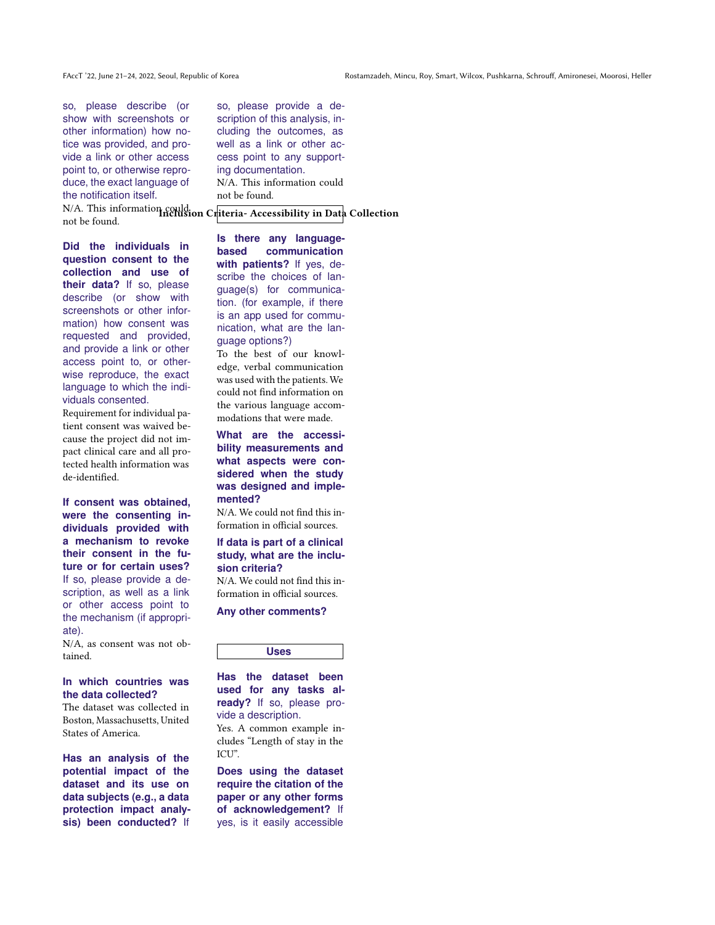so, please describe (or show with screenshots or other information) how notice was provided, and provide a link or other access point to, or otherwise reproduce, the exact language of the notification itself.

not be found.

**Did the individuals in question consent to the collection and use of their data?** If so, please describe (or show with screenshots or other information) how consent was requested and provided, and provide a link or other access point to, or otherwise reproduce, the exact language to which the individuals consented.

Requirement for individual patient consent was waived because the project did not impact clinical care and all protected health information was de-identified.

**If consent was obtained, were the consenting individuals provided with a mechanism to revoke their consent in the future or for certain uses?** If so, please provide a description, as well as a link or other access point to the mechanism (if appropriate).

N/A, as consent was not obtained.

## **In which countries was the data collected?**

The dataset was collected in Boston, Massachusetts, United States of America.

**Has an analysis of the potential impact of the dataset and its use on data subjects (e.g., a data protection impact analysis) been conducted?** If so, please provide a description of this analysis, including the outcomes, as well as a link or other access point to any supporting documentation. N/A. This information could not be found.

N/A. This information could ion Criteria-Accessibility in Data Collection

**Is there any languagebased communication with patients?** If yes, describe the choices of language(s) for communication. (for example, if there is an app used for communication, what are the language options?)

To the best of our knowledge, verbal communication was used with the patients. We could not find information on the various language accommodations that were made.

**What are the accessibility measurements and what aspects were considered when the study was designed and implemented?**

N/A. We could not find this information in official sources.

#### **If data is part of a clinical study, what are the inclusion criteria?**

N/A. We could not find this information in official sources.

**Any other comments?**

**Uses**

**Has the dataset been used for any tasks already?** If so, please provide a description.

Yes. A common example includes "Length of stay in the ICU".

**Does using the dataset require the citation of the paper or any other forms of acknowledgement?** If yes, is it easily accessible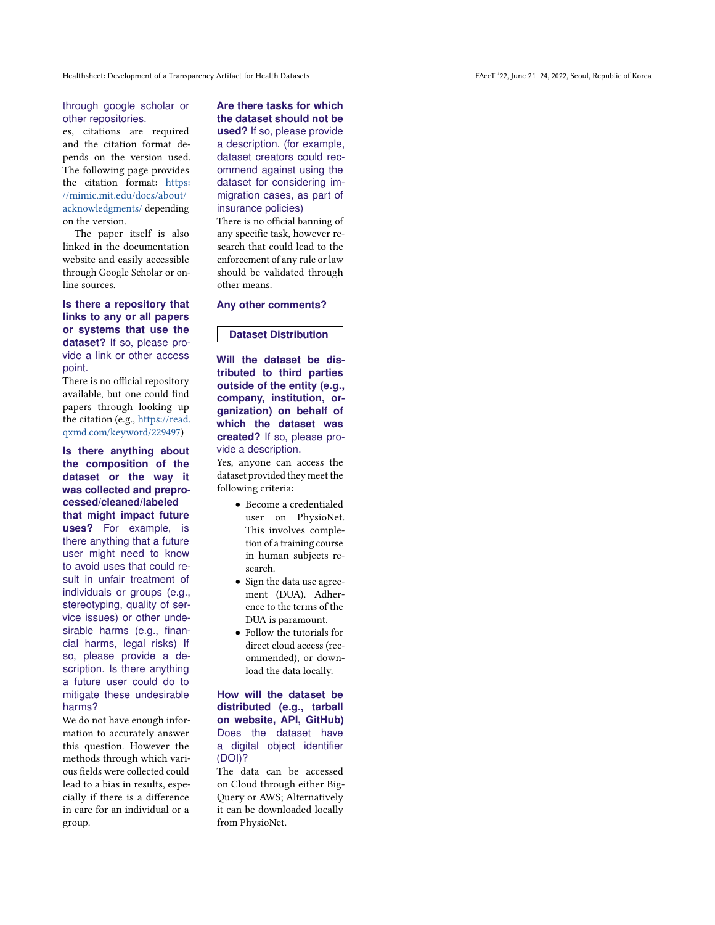#### through google scholar or other repositories.

es, citations are required and the citation format depends on the version used. The following page provides the citation format: [https:](https://mimic.mit.edu/docs/about/acknowledgments/) [//mimic.mit.edu/docs/about/](https://mimic.mit.edu/docs/about/acknowledgments/) [acknowledgments/](https://mimic.mit.edu/docs/about/acknowledgments/) depending on the version.

The paper itself is also linked in the documentation website and easily accessible through Google Scholar or online sources.

**Is there a repository that links to any or all papers or systems that use the dataset?** If so, please provide a link or other access point.

There is no official repository available, but one could find papers through looking up the citation (e.g., [https://read.](https://read.qxmd.com/keyword/229497) [qxmd.com/keyword/229497\)](https://read.qxmd.com/keyword/229497)

**Is there anything about the composition of the dataset or the way it was collected and preprocessed/cleaned/labeled that might impact future uses?** For example, is there anything that a future user might need to know to avoid uses that could result in unfair treatment of individuals or groups (e.g., stereotyping, quality of service issues) or other undesirable harms (e.g., financial harms, legal risks) If so, please provide a description. Is there anything a future user could do to mitigate these undesirable harms?

We do not have enough information to accurately answer this question. However the methods through which various fields were collected could lead to a bias in results, especially if there is a difference in care for an individual or a group.

**Are there tasks for which the dataset should not be used?** If so, please provide a description. (for example, dataset creators could recommend against using the dataset for considering immigration cases, as part of insurance policies)

There is no official banning of any specific task, however research that could lead to the enforcement of any rule or law should be validated through other means.

#### **Any other comments?**

### **Dataset Distribution**

**Will the dataset be distributed to third parties outside of the entity (e.g., company, institution, organization) on behalf of which the dataset was created?** If so, please provide a description.

Yes, anyone can access the dataset provided they meet the following criteria:

- Become a credentialed user on PhysioNet. This involves completion of a training course in human subjects research.
- Sign the data use agreement (DUA). Adherence to the terms of the DUA is paramount.
- Follow the tutorials for direct cloud access (recommended), or download the data locally.

#### **How will the dataset be distributed (e.g., tarball on website, API, GitHub)** Does the dataset have a digital object identifier (DOI)?

The data can be accessed on Cloud through either Big-Query or AWS; Alternatively it can be downloaded locally from PhysioNet.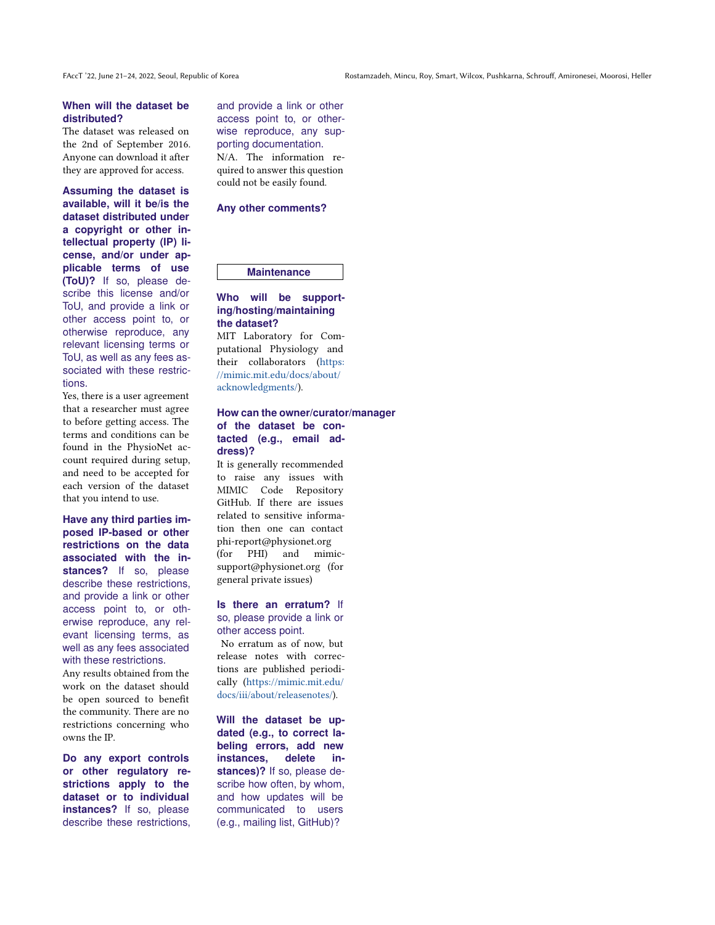### **When will the dataset be distributed?**

The dataset was released on the 2nd of September 2016. Anyone can download it after they are approved for access.

**Assuming the dataset is available, will it be/is the dataset distributed under a copyright or other intellectual property (IP) license, and/or under applicable terms of use (ToU)?** If so, please describe this license and/or ToU, and provide a link or other access point to, or otherwise reproduce, any relevant licensing terms or ToU, as well as any fees associated with these restrictions.

Yes, there is a user agreement that a researcher must agree to before getting access. The terms and conditions can be found in the PhysioNet account required during setup, and need to be accepted for each version of the dataset that you intend to use.

**Have any third parties imposed IP-based or other restrictions on the data associated with the in**stances? If so, please describe these restrictions, and provide a link or other access point to, or otherwise reproduce, any relevant licensing terms, as well as any fees associated with these restrictions.

Any results obtained from the work on the dataset should be open sourced to benefit the community. There are no restrictions concerning who owns the IP.

**Do any export controls or other regulatory restrictions apply to the dataset or to individual instances?** If so, please describe these restrictions,

and provide a link or other access point to, or otherwise reproduce, any supporting documentation. N/A. The information required to answer this question could not be easily found.

#### **Any other comments?**

#### **Maintenance**

#### **Who will be supporting/hosting/maintaining the dataset?**

MIT Laboratory for Computational Physiology and their collaborators [\(https:](https://mimic.mit.edu/docs/about/acknowledgments/) [//mimic.mit.edu/docs/about/](https://mimic.mit.edu/docs/about/acknowledgments/) [acknowledgments/\)](https://mimic.mit.edu/docs/about/acknowledgments/).

#### **How can the owner/curator/manager of the dataset be contacted (e.g., email address)?**

It is generally recommended to raise any issues with MIMIC Code Repository GitHub. If there are issues related to sensitive information then one can contact phi-report@physionet.org (for PHI) and mimicsupport@physionet.org (for general private issues)

**Is there an erratum?** If so, please provide a link or other access point.

No erratum as of now, but release notes with corrections are published periodically [\(https://mimic.mit.edu/](https://mimic.mit.edu/docs/iii/about/releasenotes/) [docs/iii/about/releasenotes/\)](https://mimic.mit.edu/docs/iii/about/releasenotes/).

**Will the dataset be updated (e.g., to correct labeling errors, add new instances, delete in**stances)? If so, please describe how often, by whom, and how updates will be communicated to users (e.g., mailing list, GitHub)?